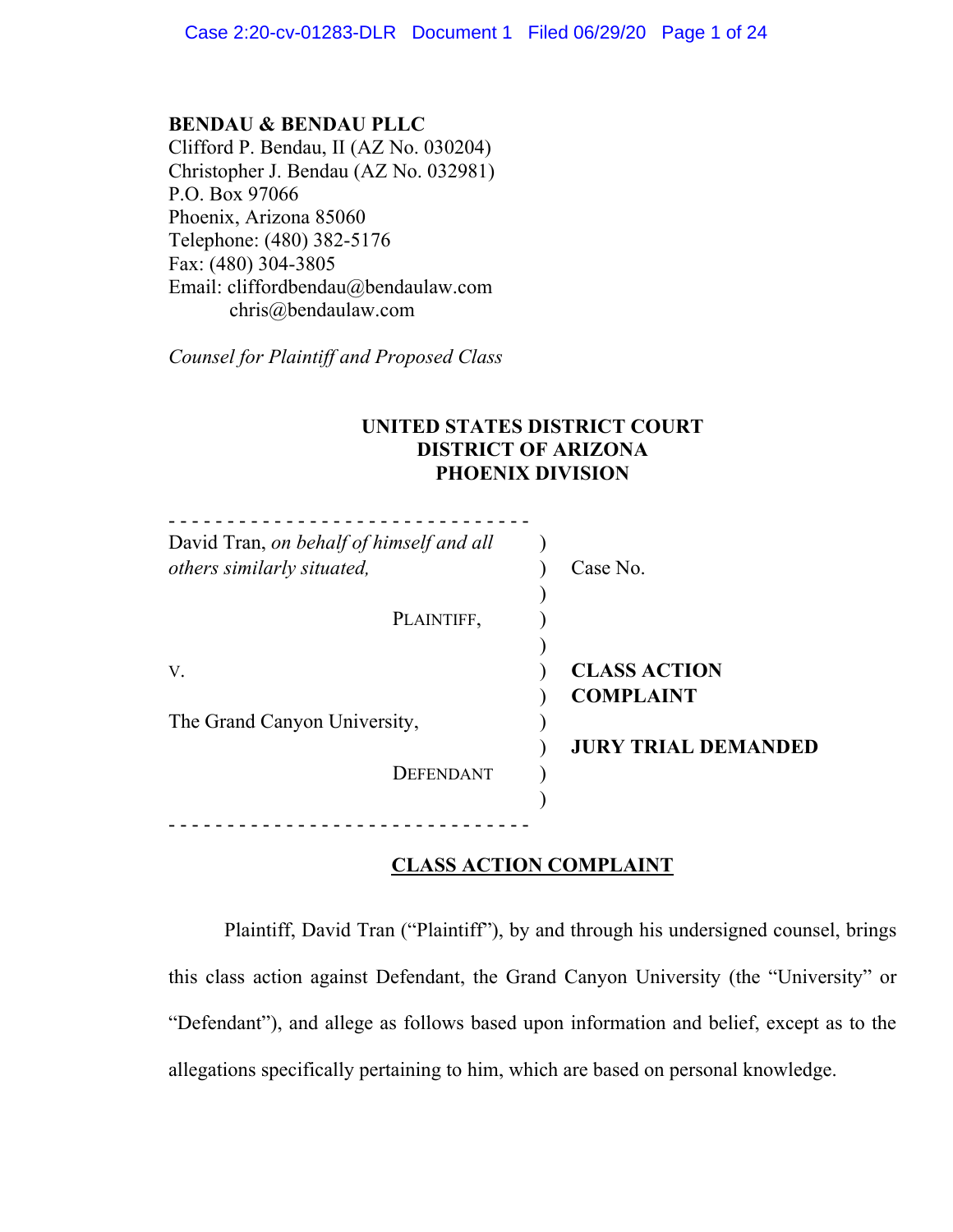**BENDAU & BENDAU PLLC** Clifford P. Bendau, II (AZ No. 030204) Christopher J. Bendau (AZ No. 032981) P.O. Box 97066 Phoenix, Arizona 85060 Telephone: (480) 382-5176 Fax: (480) 304-3805 Email: cliffordbendau@bendaulaw.com chris@bendaulaw.com

*Counsel for Plaintiff and Proposed Class*

# **UNITED STATES DISTRICT COURT DISTRICT OF ARIZONA PHOENIX DIVISION**

| David Tran, on behalf of himself and all<br>others similarly situated, | Case No.                                                              |
|------------------------------------------------------------------------|-----------------------------------------------------------------------|
| PLAINTIFF,                                                             |                                                                       |
| V.<br>The Grand Canyon University,<br>DEFENDANT                        | <b>CLASS ACTION</b><br><b>COMPLAINT</b><br><b>JURY TRIAL DEMANDED</b> |
|                                                                        |                                                                       |

# **CLASS ACTION COMPLAINT**

Plaintiff, David Tran ("Plaintiff"), by and through his undersigned counsel, brings this class action against Defendant, the Grand Canyon University (the "University" or "Defendant"), and allege as follows based upon information and belief, except as to the allegations specifically pertaining to him, which are based on personal knowledge.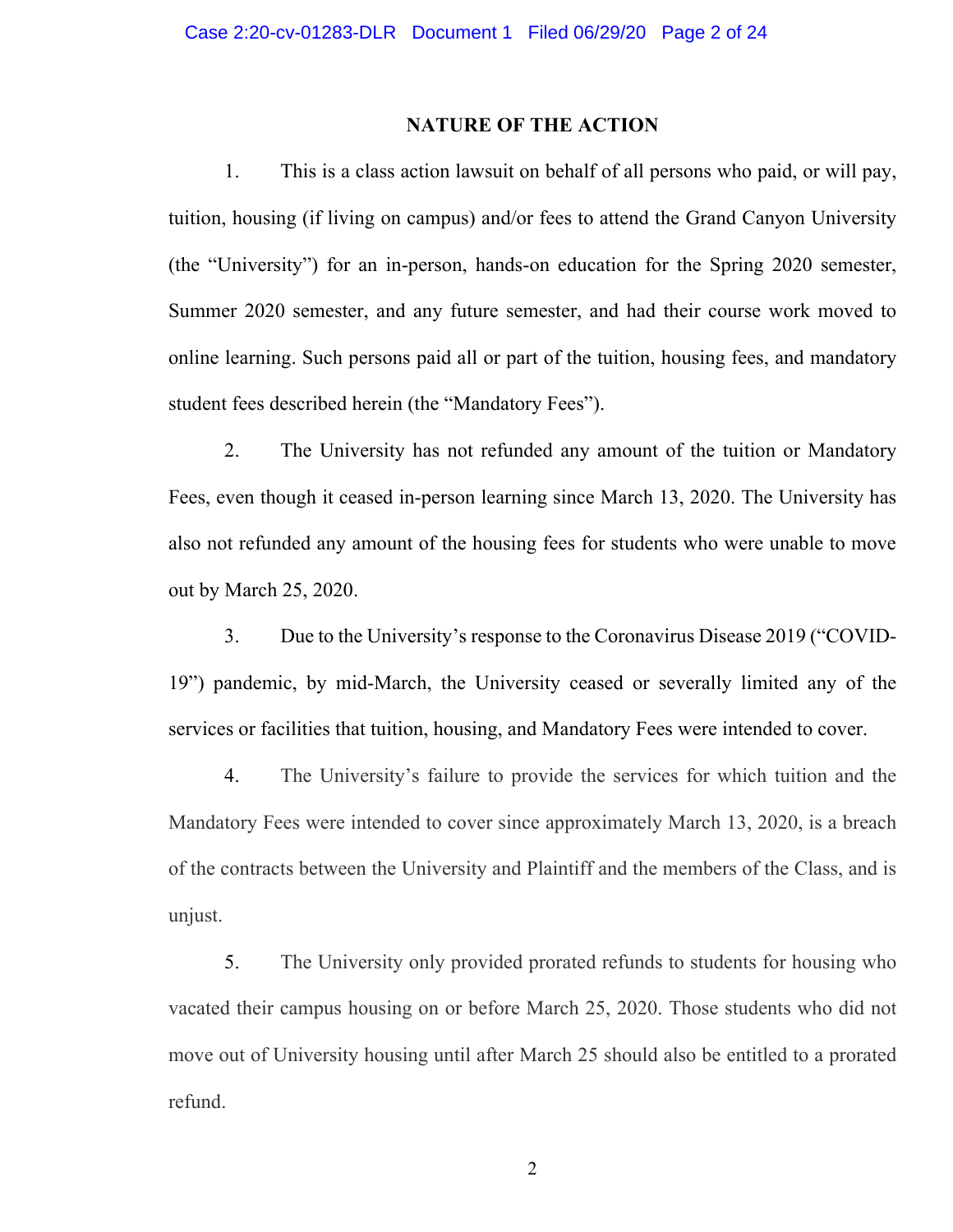#### **NATURE OF THE ACTION**

1. This is a class action lawsuit on behalf of all persons who paid, or will pay, tuition, housing (if living on campus) and/or fees to attend the Grand Canyon University (the "University") for an in-person, hands-on education for the Spring 2020 semester, Summer 2020 semester, and any future semester, and had their course work moved to online learning. Such persons paid all or part of the tuition, housing fees, and mandatory student fees described herein (the "Mandatory Fees").

2. The University has not refunded any amount of the tuition or Mandatory Fees, even though it ceased in-person learning since March 13, 2020. The University has also not refunded any amount of the housing fees for students who were unable to move out by March 25, 2020.

3. Due to the University's response to the Coronavirus Disease 2019 ("COVID-19") pandemic, by mid-March, the University ceased or severally limited any of the services or facilities that tuition, housing, and Mandatory Fees were intended to cover.

4. The University's failure to provide the services for which tuition and the Mandatory Fees were intended to cover since approximately March 13, 2020, is a breach of the contracts between the University and Plaintiff and the members of the Class, and is unjust.

5. The University only provided prorated refunds to students for housing who vacated their campus housing on or before March 25, 2020. Those students who did not move out of University housing until after March 25 should also be entitled to a prorated refund.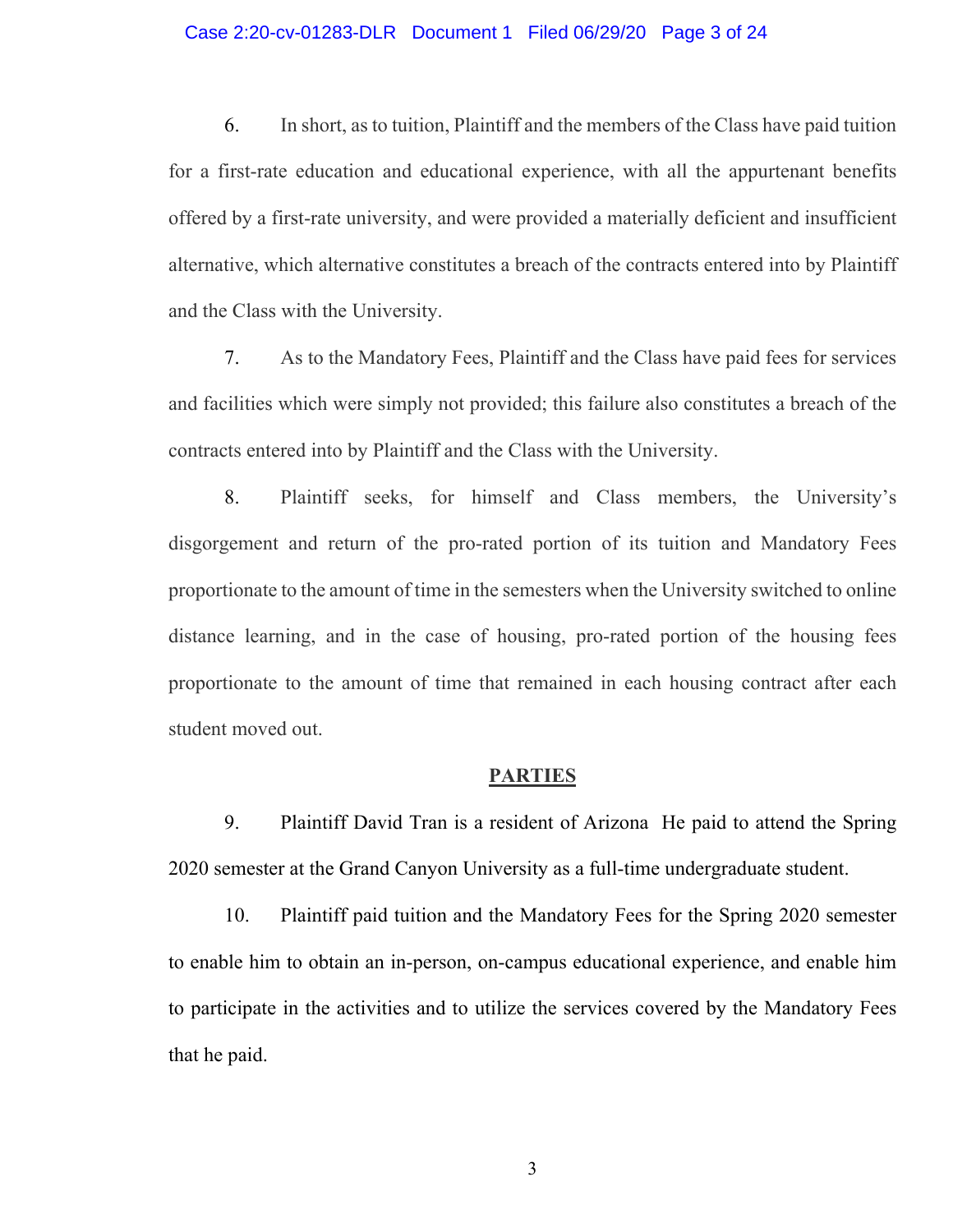#### Case 2:20-cv-01283-DLR Document 1 Filed 06/29/20 Page 3 of 24

6. In short, as to tuition, Plaintiff and the members of the Class have paid tuition for a first-rate education and educational experience, with all the appurtenant benefits offered by a first-rate university, and were provided a materially deficient and insufficient alternative, which alternative constitutes a breach of the contracts entered into by Plaintiff and the Class with the University.

7. As to the Mandatory Fees, Plaintiff and the Class have paid fees for services and facilities which were simply not provided; this failure also constitutes a breach of the contracts entered into by Plaintiff and the Class with the University.

8. Plaintiff seeks, for himself and Class members, the University's disgorgement and return of the pro-rated portion of its tuition and Mandatory Fees proportionate to the amount of time in the semesters when the University switched to online distance learning, and in the case of housing, pro-rated portion of the housing fees proportionate to the amount of time that remained in each housing contract after each student moved out.

#### **PARTIES**

9. Plaintiff David Tran is a resident of Arizona He paid to attend the Spring 2020 semester at the Grand Canyon University as a full-time undergraduate student.

10. Plaintiff paid tuition and the Mandatory Fees for the Spring 2020 semester to enable him to obtain an in-person, on-campus educational experience, and enable him to participate in the activities and to utilize the services covered by the Mandatory Fees that he paid.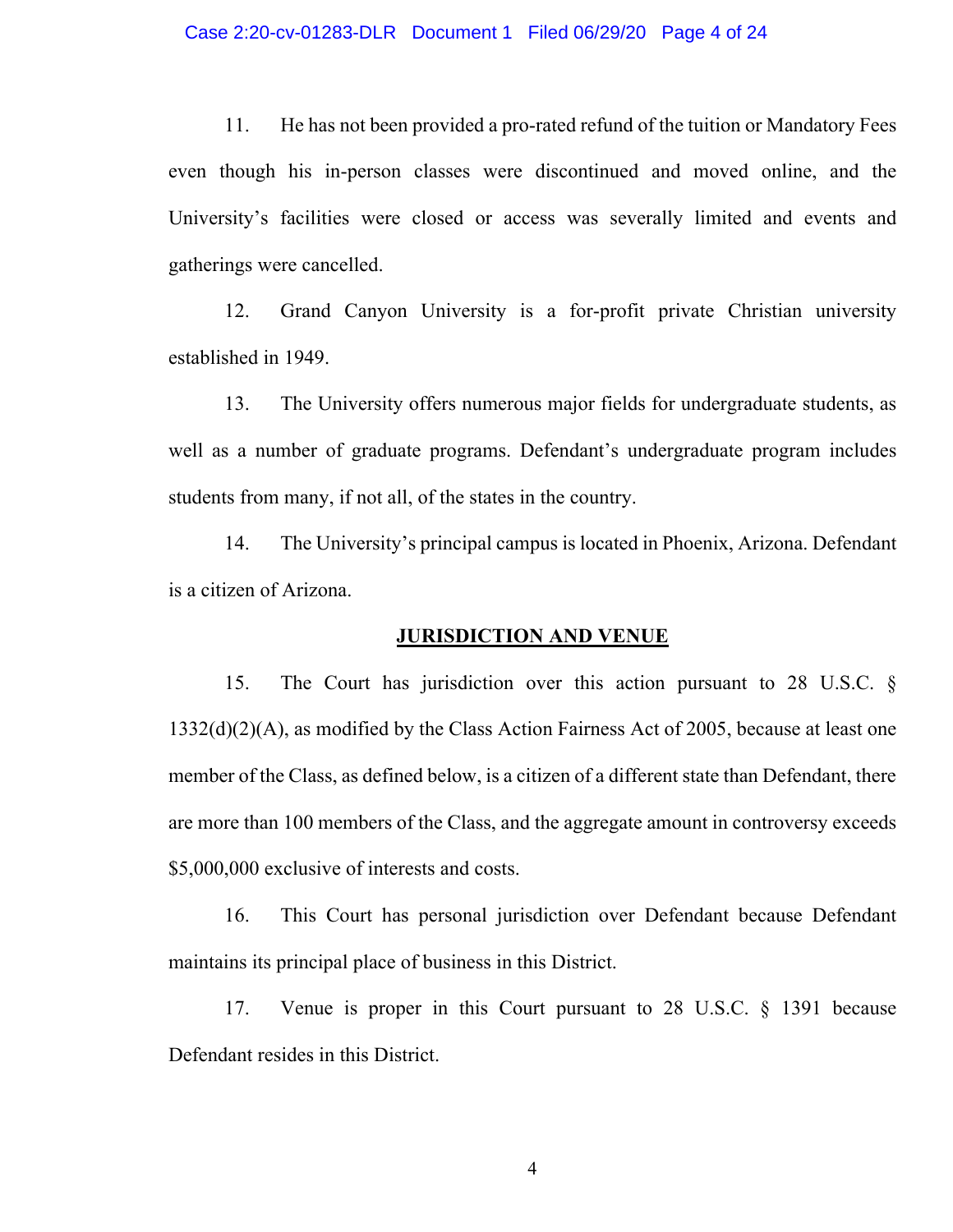11. He has not been provided a pro-rated refund of the tuition or Mandatory Fees even though his in-person classes were discontinued and moved online, and the University's facilities were closed or access was severally limited and events and gatherings were cancelled.

12. Grand Canyon University is a for-profit private Christian university established in 1949.

13. The University offers numerous major fields for undergraduate students, as well as a number of graduate programs. Defendant's undergraduate program includes students from many, if not all, of the states in the country.

14. The University's principal campus is located in Phoenix, Arizona. Defendant is a citizen of Arizona.

#### **JURISDICTION AND VENUE**

15. The Court has jurisdiction over this action pursuant to 28 U.S.C. § 1332(d)(2)(A), as modified by the Class Action Fairness Act of 2005, because at least one member of the Class, as defined below, is a citizen of a different state than Defendant, there are more than 100 members of the Class, and the aggregate amount in controversy exceeds \$5,000,000 exclusive of interests and costs.

16. This Court has personal jurisdiction over Defendant because Defendant maintains its principal place of business in this District.

17. Venue is proper in this Court pursuant to 28 U.S.C. § 1391 because Defendant resides in this District.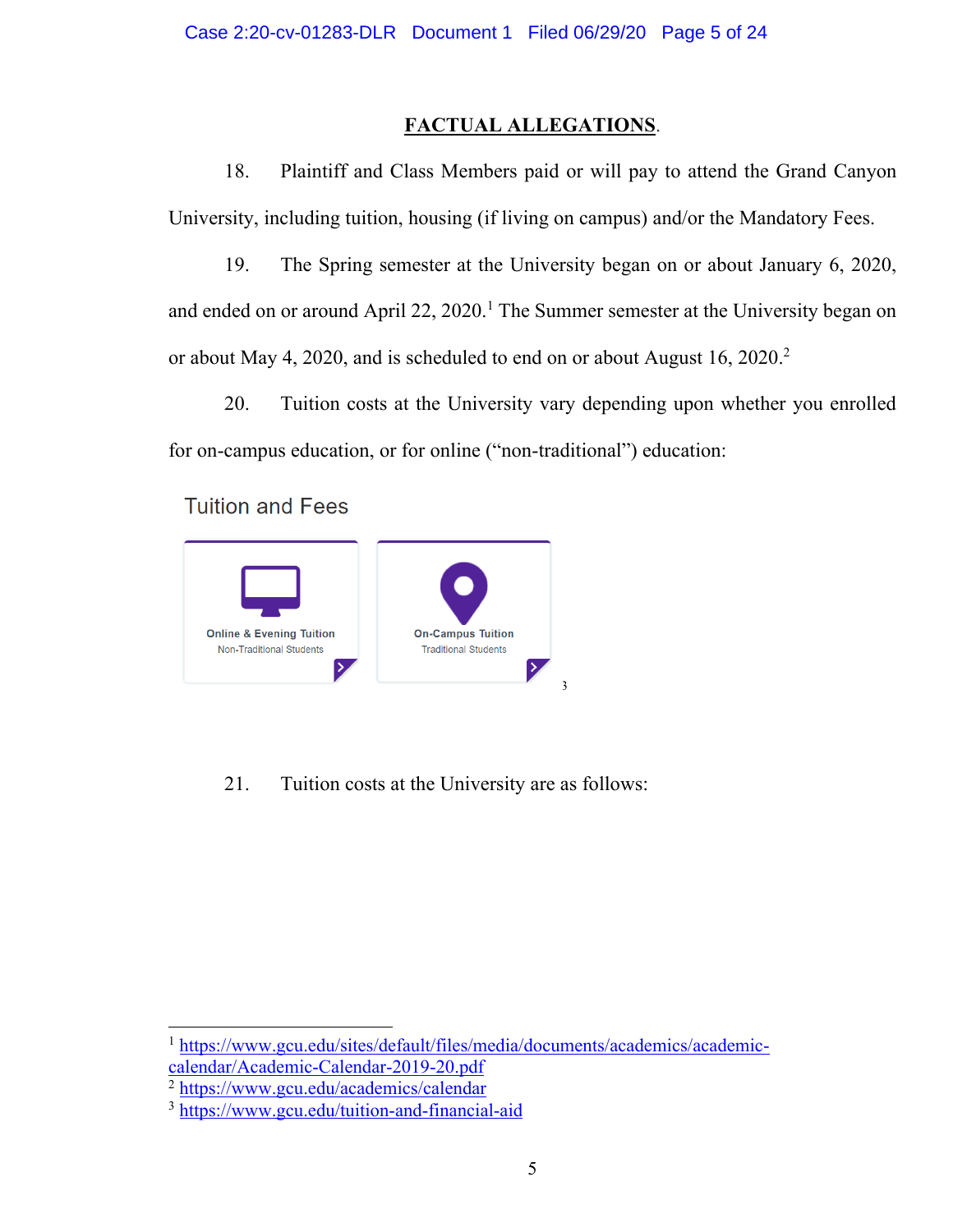# **FACTUAL ALLEGATIONS**.

18. Plaintiff and Class Members paid or will pay to attend the Grand Canyon University, including tuition, housing (if living on campus) and/or the Mandatory Fees.

19. The Spring semester at the University began on or about January 6, 2020, and ended on or around April 22, 2020.<sup>1</sup> The Summer semester at the University began on or about May 4, 2020, and is scheduled to end on or about August 16, 2020.2

20. Tuition costs at the University vary depending upon whether you enrolled for on-campus education, or for online ("non-traditional") education:

**Tuition and Fees** 



21. Tuition costs at the University are as follows:

<sup>1</sup> https://www.gcu.edu/sites/default/files/media/documents/academics/academiccalendar/Academic-Calendar-2019-20.pdf

<sup>2</sup> https://www.gcu.edu/academics/calendar

<sup>3</sup> https://www.gcu.edu/tuition-and-financial-aid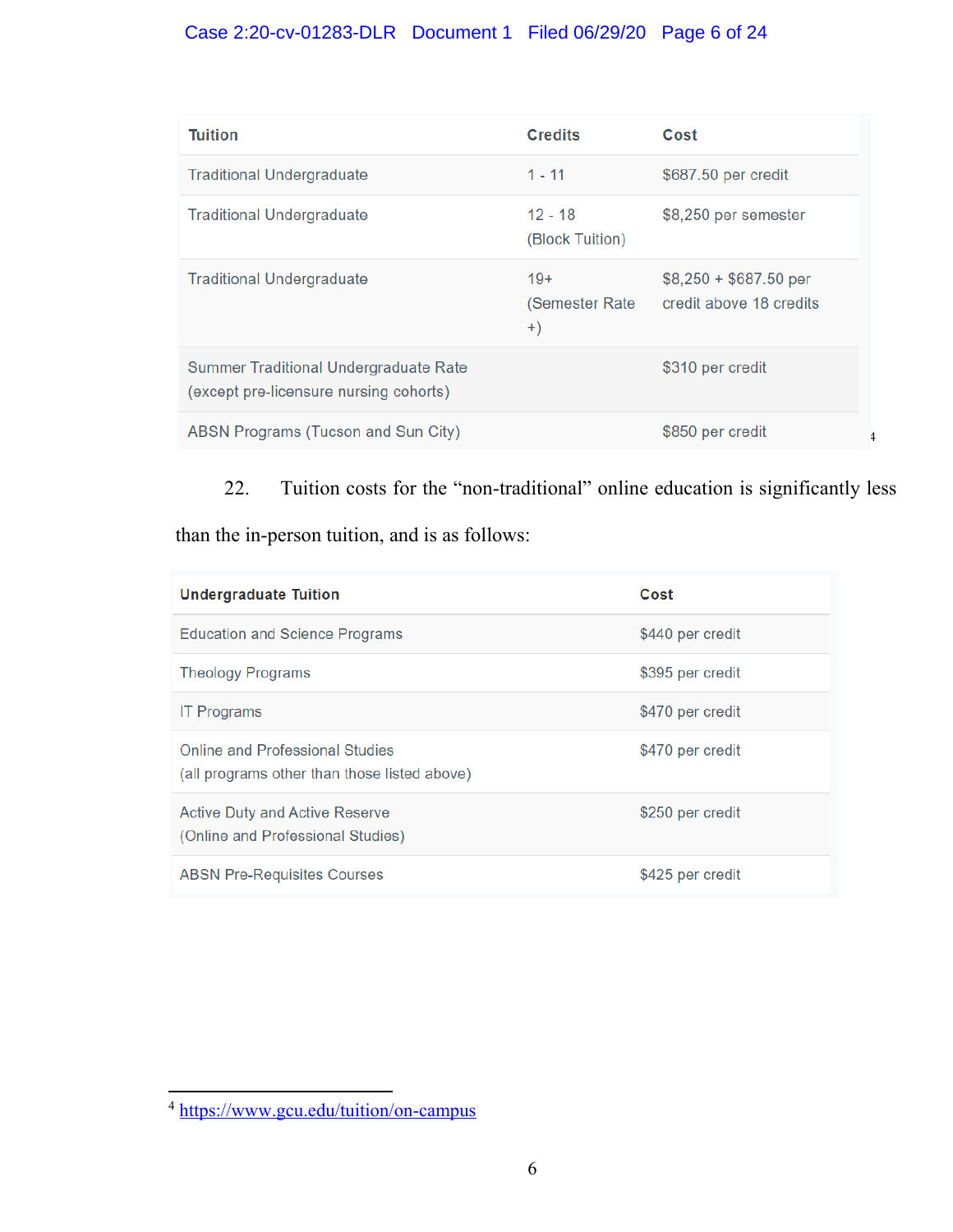# Case 2:20-cv-01283-DLR Document 1 Filed 06/29/20 Page 6 of 24

| <b>Tuition</b>                                                                  | <b>Credits</b>                  | Cost                                              |
|---------------------------------------------------------------------------------|---------------------------------|---------------------------------------------------|
| <b>Traditional Undergraduate</b>                                                | $1 - 11$                        | \$687.50 per credit                               |
| <b>Traditional Undergraduate</b>                                                | $12 - 18$<br>(Block Tuition)    | \$8,250 per semester                              |
| <b>Traditional Undergraduate</b>                                                | $19+$<br>(Semester Rate<br>$+)$ | $$8,250 + $687.50$ per<br>credit above 18 credits |
| Summer Traditional Undergraduate Rate<br>(except pre-licensure nursing cohorts) |                                 | \$310 per credit                                  |
| ABSN Programs (Tucson and Sun City)                                             |                                 | \$850 per credit                                  |

22. Tuition costs for the "non-traditional" online education is significantly less

4

than the in-person tuition, and is as follows:

| <b>Undergraduate Tuition</b>                                                           | Cost             |
|----------------------------------------------------------------------------------------|------------------|
| <b>Education and Science Programs</b>                                                  | \$440 per credit |
| <b>Theology Programs</b>                                                               | \$395 per credit |
| <b>IT Programs</b>                                                                     | \$470 per credit |
| <b>Online and Professional Studies</b><br>(all programs other than those listed above) | \$470 per credit |
| <b>Active Duty and Active Reserve</b><br>(Online and Professional Studies)             | \$250 per credit |
| <b>ABSN Pre-Requisites Courses</b>                                                     | \$425 per credit |

<sup>4</sup> https://www.gcu.edu/tuition/on-campus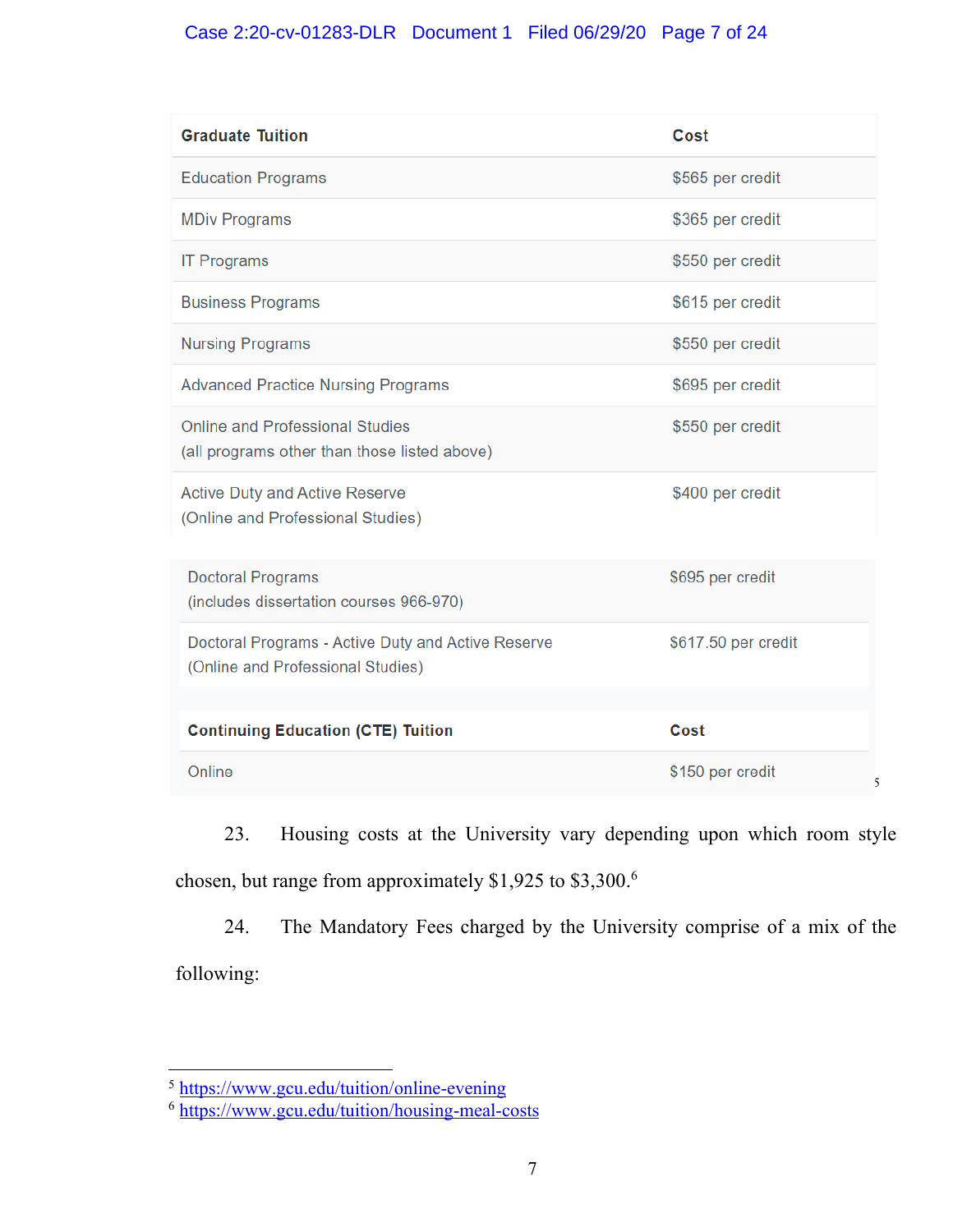# Case 2:20-cv-01283-DLR Document 1 Filed 06/29/20 Page 7 of 24

| <b>Graduate Tuition</b>                                                                 | Cost                  |  |
|-----------------------------------------------------------------------------------------|-----------------------|--|
| <b>Education Programs</b>                                                               | \$565 per credit      |  |
| <b>MDiv Programs</b>                                                                    | \$365 per credit      |  |
| <b>IT Programs</b>                                                                      | \$550 per credit      |  |
| <b>Business Programs</b>                                                                | \$615 per credit      |  |
| <b>Nursing Programs</b>                                                                 | \$550 per credit      |  |
| <b>Advanced Practice Nursing Programs</b>                                               | \$695 per credit      |  |
| <b>Online and Professional Studies</b><br>(all programs other than those listed above)  | \$550 per credit      |  |
| <b>Active Duty and Active Reserve</b><br>(Online and Professional Studies)              | \$400 per credit      |  |
| <b>Doctoral Programs</b><br>(includes dissertation courses 966-970)                     | \$695 per credit      |  |
| Doctoral Programs - Active Duty and Active Reserve<br>(Online and Professional Studies) | \$617.50 per credit   |  |
|                                                                                         |                       |  |
| <b>Continuing Education (CTE) Tuition</b>                                               | Cost                  |  |
| Online                                                                                  | \$150 per credit<br>5 |  |

23. Housing costs at the University vary depending upon which room style chosen, but range from approximately \$1,925 to \$3,300.6

24. The Mandatory Fees charged by the University comprise of a mix of the following:

<sup>&</sup>lt;sup>5</sup> https://www.gcu.edu/tuition/online-evening

<sup>6</sup> https://www.gcu.edu/tuition/housing-meal-costs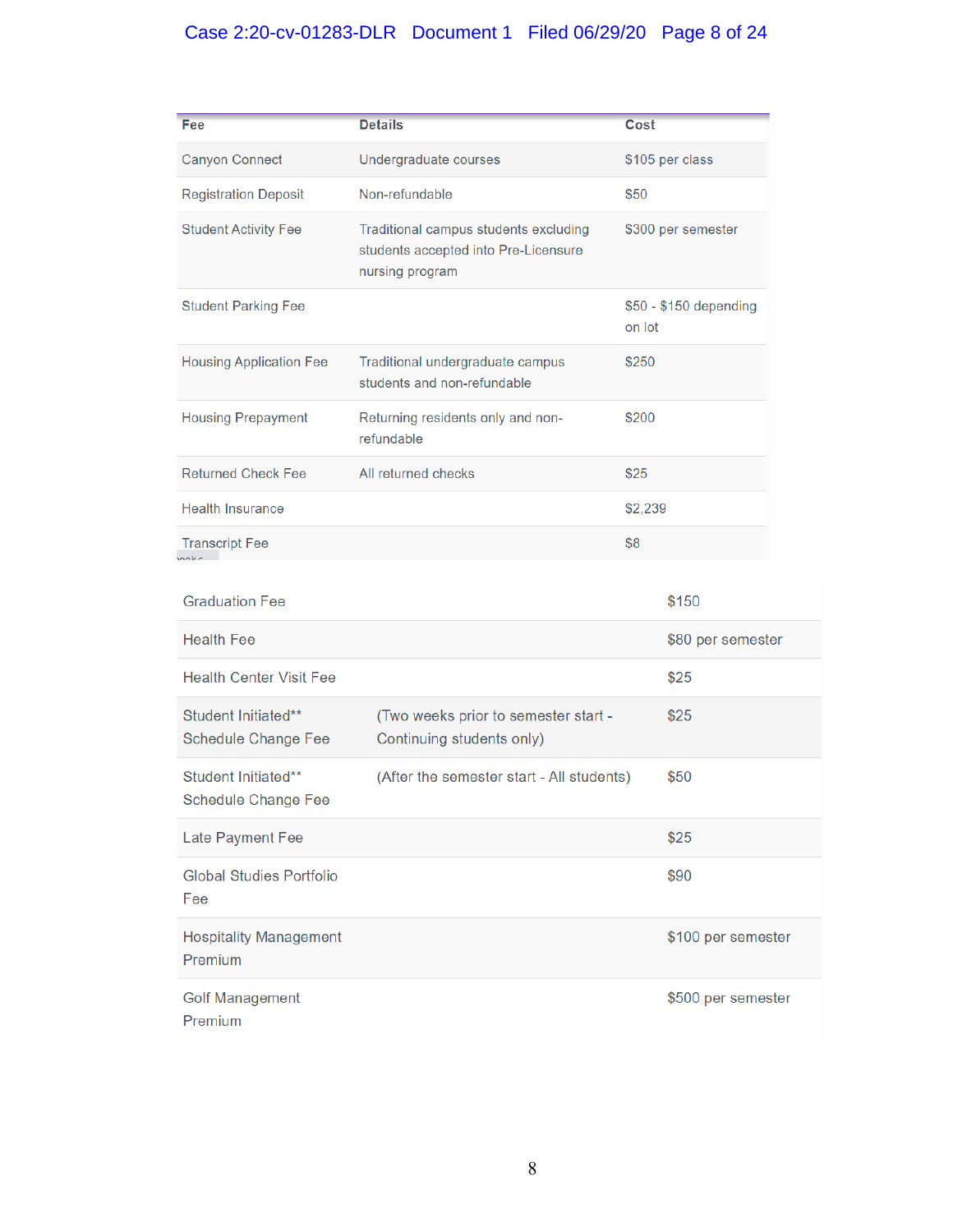# Case 2:20-cv-01283-DLR Document 1 Filed 06/29/20 Page 8 of 24

| Fee                                               | <b>Details</b>                                                                                   | Cost    |                        |
|---------------------------------------------------|--------------------------------------------------------------------------------------------------|---------|------------------------|
| <b>Canyon Connect</b>                             | Undergraduate courses                                                                            |         | \$105 per class        |
| <b>Registration Deposit</b>                       | Non-refundable                                                                                   | \$50    |                        |
| <b>Student Activity Fee</b>                       | Traditional campus students excluding<br>students accepted into Pre-Licensure<br>nursing program |         | \$300 per semester     |
| <b>Student Parking Fee</b>                        |                                                                                                  | on lot  | \$50 - \$150 depending |
| <b>Housing Application Fee</b>                    | Traditional undergraduate campus<br>students and non-refundable                                  | \$250   |                        |
| <b>Housing Prepayment</b>                         | Returning residents only and non-<br>refundable                                                  | \$200   |                        |
| <b>Returned Check Fee</b>                         | All returned checks                                                                              | \$25    |                        |
| <b>Health Insurance</b>                           |                                                                                                  | \$2,239 |                        |
| <b>Transcript Fee</b>                             |                                                                                                  | \$8     |                        |
| <b>Graduation Fee</b>                             |                                                                                                  |         | \$150                  |
| <b>Health Fee</b>                                 |                                                                                                  |         | \$80 per semester      |
| <b>Health Center Visit Fee</b>                    |                                                                                                  |         | \$25                   |
| Student Initiated**<br><b>Schedule Change Fee</b> | (Two weeks prior to semester start -<br>Continuing students only)                                |         | \$25                   |
| Student Initiated**<br>Schedule Change Fee        | (After the semester start - All students)                                                        |         | \$50                   |
| Late Payment Fee                                  |                                                                                                  |         | \$25                   |
| <b>Global Studies Portfolio</b><br>Fee            |                                                                                                  |         | \$90                   |
| <b>Hospitality Management</b><br>Premium          |                                                                                                  |         | \$100 per semester     |
| <b>Golf Management</b><br>Premium                 |                                                                                                  |         | \$500 per semester     |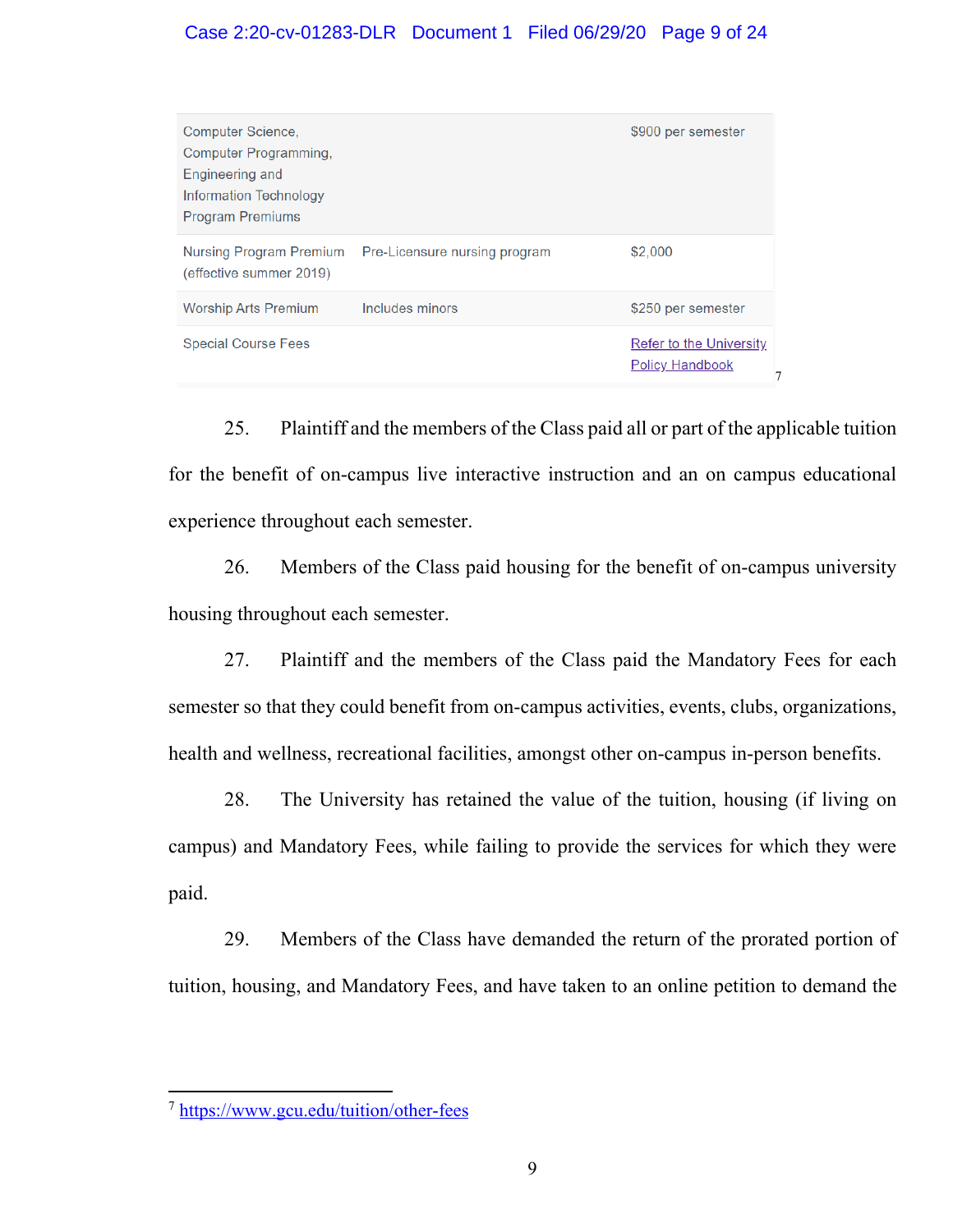# Case 2:20-cv-01283-DLR Document 1 Filed 06/29/20 Page 9 of 24

| Computer Science,<br>Computer Programming,<br>Engineering and<br><b>Information Technology</b><br><b>Program Premiums</b> |                                                       | \$900 per semester                                       |
|---------------------------------------------------------------------------------------------------------------------------|-------------------------------------------------------|----------------------------------------------------------|
| (effective summer 2019)                                                                                                   | Nursing Program Premium Pre-Licensure nursing program | \$2,000                                                  |
| <b>Worship Arts Premium</b>                                                                                               | Includes minors                                       | \$250 per semester                                       |
| <b>Special Course Fees</b>                                                                                                |                                                       | <b>Refer to the University</b><br><b>Policy Handbook</b> |

25. Plaintiff and the members of the Class paid all or part of the applicable tuition for the benefit of on-campus live interactive instruction and an on campus educational experience throughout each semester.

26. Members of the Class paid housing for the benefit of on-campus university housing throughout each semester.

27. Plaintiff and the members of the Class paid the Mandatory Fees for each semester so that they could benefit from on-campus activities, events, clubs, organizations, health and wellness, recreational facilities, amongst other on-campus in-person benefits.

28. The University has retained the value of the tuition, housing (if living on campus) and Mandatory Fees, while failing to provide the services for which they were paid.

29. Members of the Class have demanded the return of the prorated portion of tuition, housing, and Mandatory Fees, and have taken to an online petition to demand the

<sup>7</sup> https://www.gcu.edu/tuition/other-fees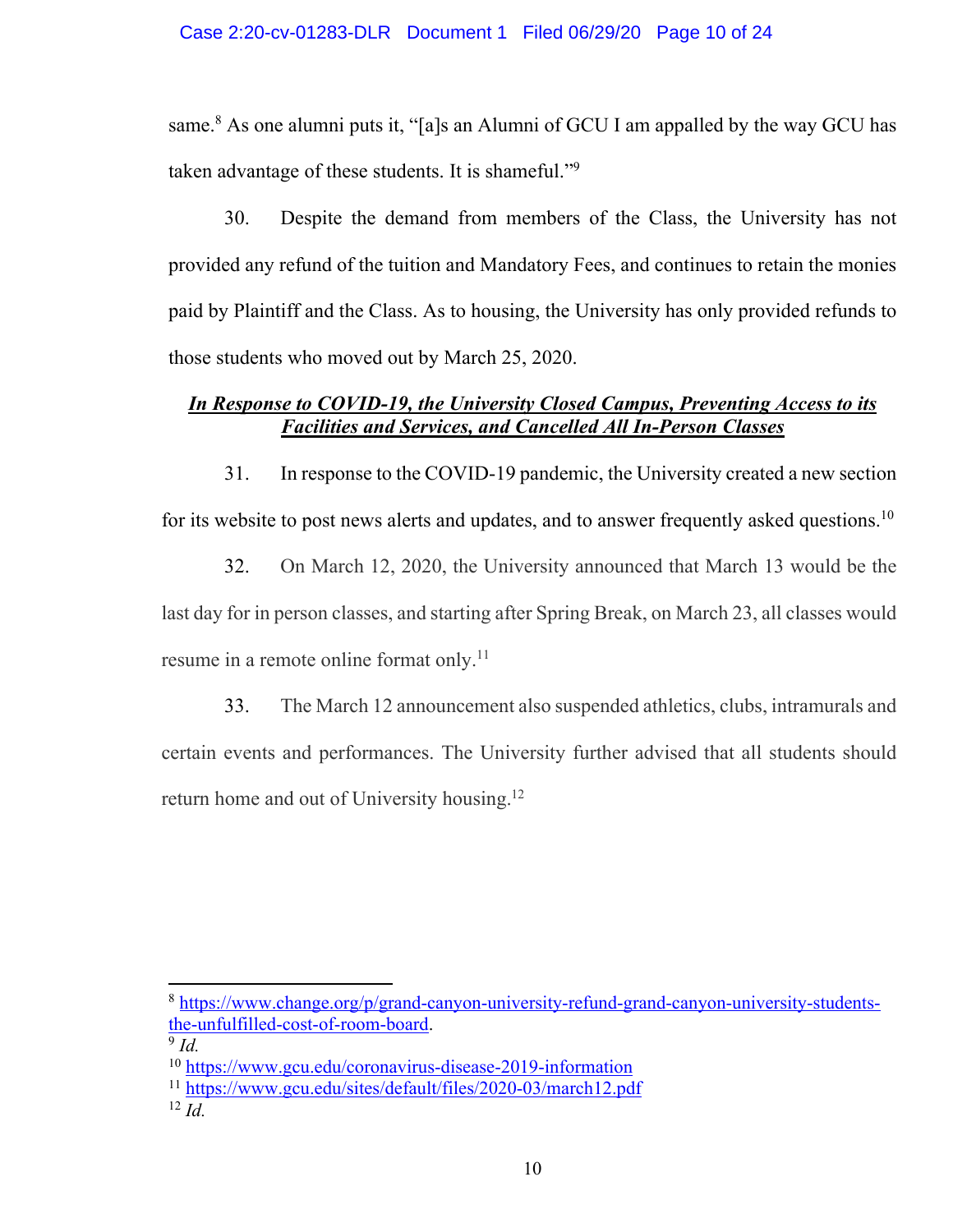same.<sup>8</sup> As one alumni puts it, "[a]s an Alumni of GCU I am appalled by the way GCU has taken advantage of these students. It is shameful."<sup>9</sup>

30. Despite the demand from members of the Class, the University has not provided any refund of the tuition and Mandatory Fees, and continues to retain the monies paid by Plaintiff and the Class. As to housing, the University has only provided refunds to those students who moved out by March 25, 2020.

# *In Response to COVID-19, the University Closed Campus, Preventing Access to its Facilities and Services, and Cancelled All In-Person Classes*

31. In response to the COVID-19 pandemic, the University created a new section for its website to post news alerts and updates, and to answer frequently asked questions.<sup>10</sup>

32. On March 12, 2020, the University announced that March 13 would be the last day for in person classes, and starting after Spring Break, on March 23, all classes would resume in a remote online format only.<sup>11</sup>

33. The March 12 announcement also suspended athletics, clubs, intramurals and certain events and performances. The University further advised that all students should return home and out of University housing.<sup>12</sup>

<sup>8</sup> https://www.change.org/p/grand-canyon-university-refund-grand-canyon-university-studentsthe-unfulfilled-cost-of-room-board.

 $9$   $Id$ .

<sup>10</sup> https://www.gcu.edu/coronavirus-disease-2019-information

<sup>11</sup> https://www.gcu.edu/sites/default/files/2020-03/march12.pdf

<sup>12</sup> *Id.*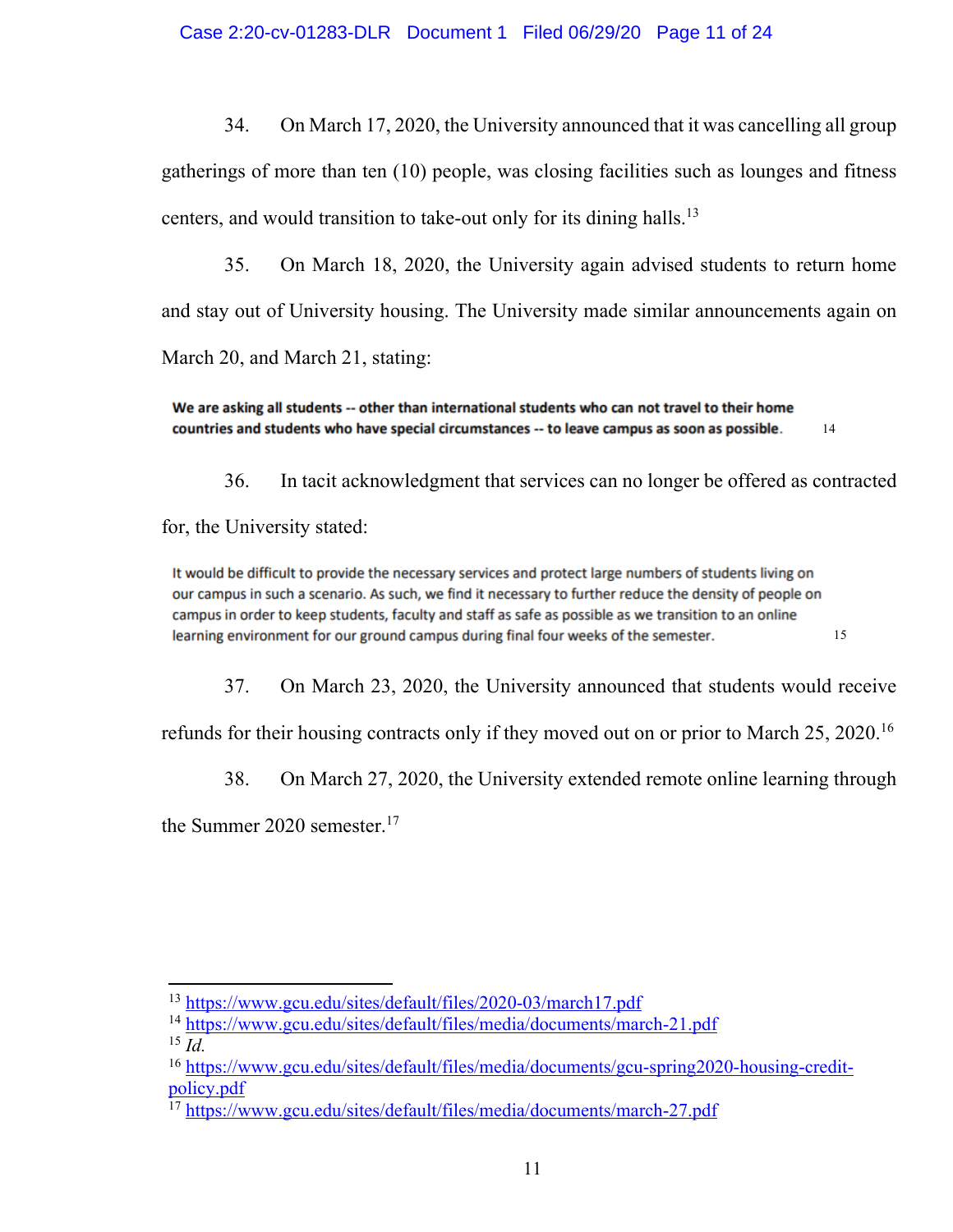34. On March 17, 2020, the University announced that it was cancelling all group

gatherings of more than ten (10) people, was closing facilities such as lounges and fitness centers, and would transition to take-out only for its dining halls.<sup>13</sup>

35. On March 18, 2020, the University again advised students to return home and stay out of University housing. The University made similar announcements again on March 20, and March 21, stating:

We are asking all students -- other than international students who can not travel to their home countries and students who have special circumstances -- to leave campus as soon as possible. 14

36. In tacit acknowledgment that services can no longer be offered as contracted for, the University stated:

It would be difficult to provide the necessary services and protect large numbers of students living on our campus in such a scenario. As such, we find it necessary to further reduce the density of people on campus in order to keep students, faculty and staff as safe as possible as we transition to an online learning environment for our ground campus during final four weeks of the semester. 15

37. On March 23, 2020, the University announced that students would receive

refunds for their housing contracts only if they moved out on or prior to March 25, 2020.<sup>16</sup>

38. On March 27, 2020, the University extended remote online learning through

the Summer 2020 semester. $17$ 

<sup>13</sup> https://www.gcu.edu/sites/default/files/2020-03/march17.pdf

<sup>14</sup> https://www.gcu.edu/sites/default/files/media/documents/march-21.pdf

<sup>15</sup> *Id.*

<sup>16</sup> https://www.gcu.edu/sites/default/files/media/documents/gcu-spring2020-housing-creditpolicy.pdf

<sup>17</sup> https://www.gcu.edu/sites/default/files/media/documents/march-27.pdf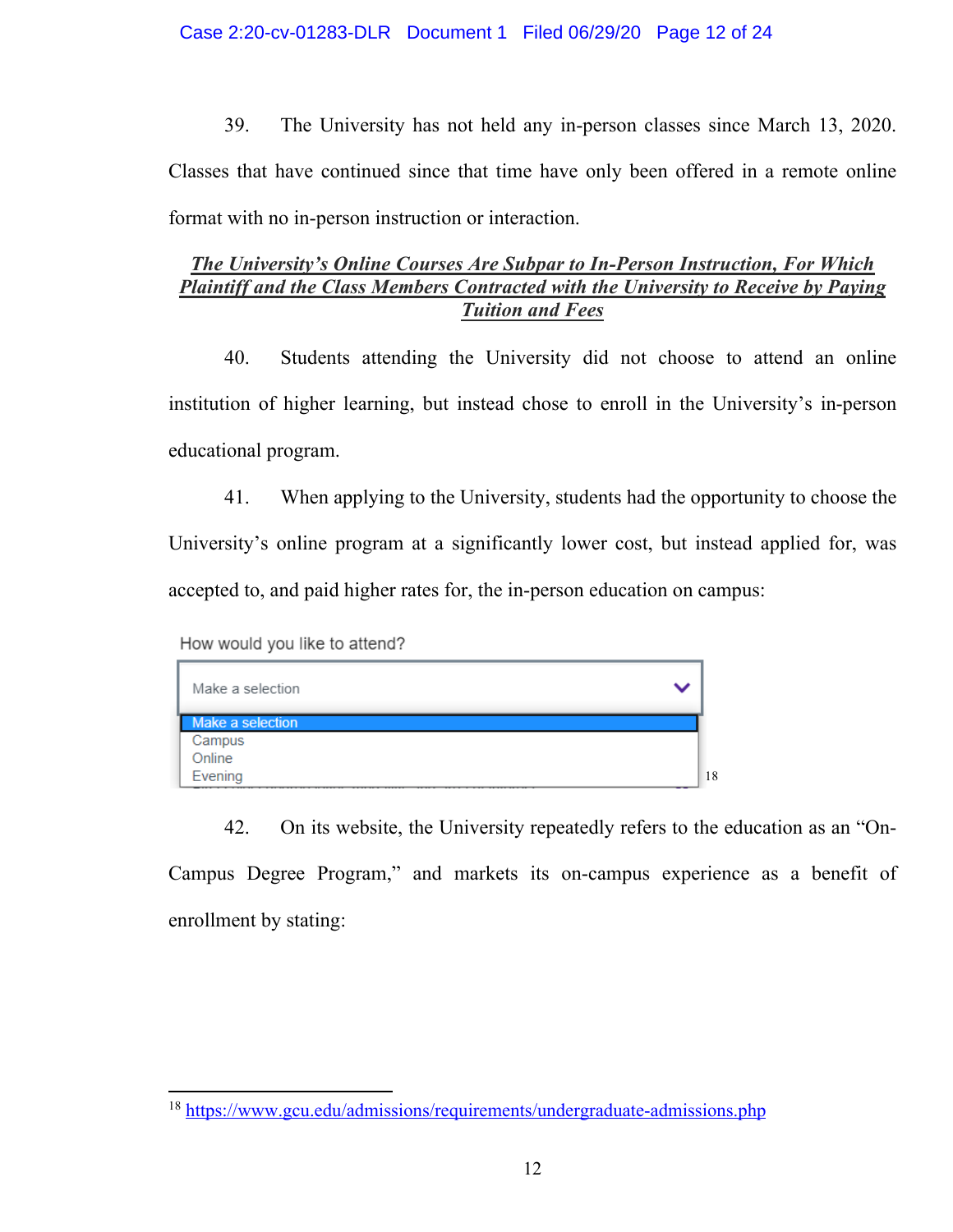39. The University has not held any in-person classes since March 13, 2020. Classes that have continued since that time have only been offered in a remote online format with no in-person instruction or interaction.

# *The University's Online Courses Are Subpar to In-Person Instruction, For Which Plaintiff and the Class Members Contracted with the University to Receive by Paying Tuition and Fees*

40. Students attending the University did not choose to attend an online institution of higher learning, but instead chose to enroll in the University's in-person educational program.

41. When applying to the University, students had the opportunity to choose the University's online program at a significantly lower cost, but instead applied for, was accepted to, and paid higher rates for, the in-person education on campus:

How would you like to attend?



42. On its website, the University repeatedly refers to the education as an "On-Campus Degree Program," and markets its on-campus experience as a benefit of enrollment by stating:

<sup>18</sup> https://www.gcu.edu/admissions/requirements/undergraduate-admissions.php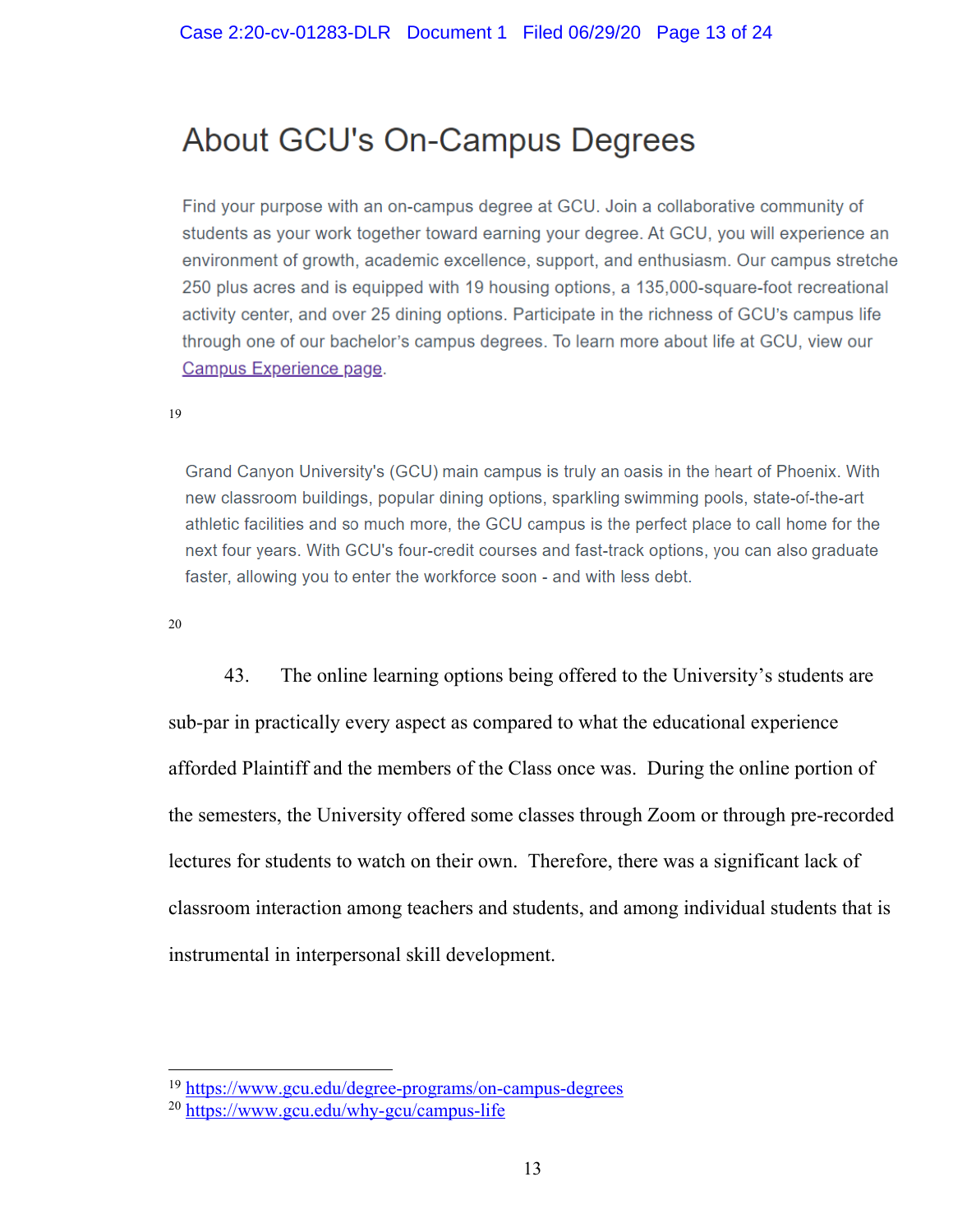# About GCU's On-Campus Degrees

Find your purpose with an on-campus degree at GCU. Join a collaborative community of students as your work together toward earning your degree. At GCU, you will experience an environment of growth, academic excellence, support, and enthusiasm. Our campus stretche 250 plus acres and is equipped with 19 housing options, a 135,000-square-foot recreational activity center, and over 25 dining options. Participate in the richness of GCU's campus life through one of our bachelor's campus degrees. To learn more about life at GCU, view our Campus Experience page.

19

Grand Canyon University's (GCU) main campus is truly an oasis in the heart of Phoenix. With new classroom buildings, popular dining options, sparkling swimming pools, state-of-the-art athletic facilities and so much more, the GCU campus is the perfect place to call home for the next four years. With GCU's four-credit courses and fast-track options, you can also graduate faster, allowing you to enter the workforce soon - and with less debt.

20

43. The online learning options being offered to the University's students are sub-par in practically every aspect as compared to what the educational experience afforded Plaintiff and the members of the Class once was. During the online portion of the semesters, the University offered some classes through Zoom or through pre-recorded lectures for students to watch on their own. Therefore, there was a significant lack of classroom interaction among teachers and students, and among individual students that is instrumental in interpersonal skill development.

<sup>19</sup> https://www.gcu.edu/degree-programs/on-campus-degrees

<sup>20</sup> https://www.gcu.edu/why-gcu/campus-life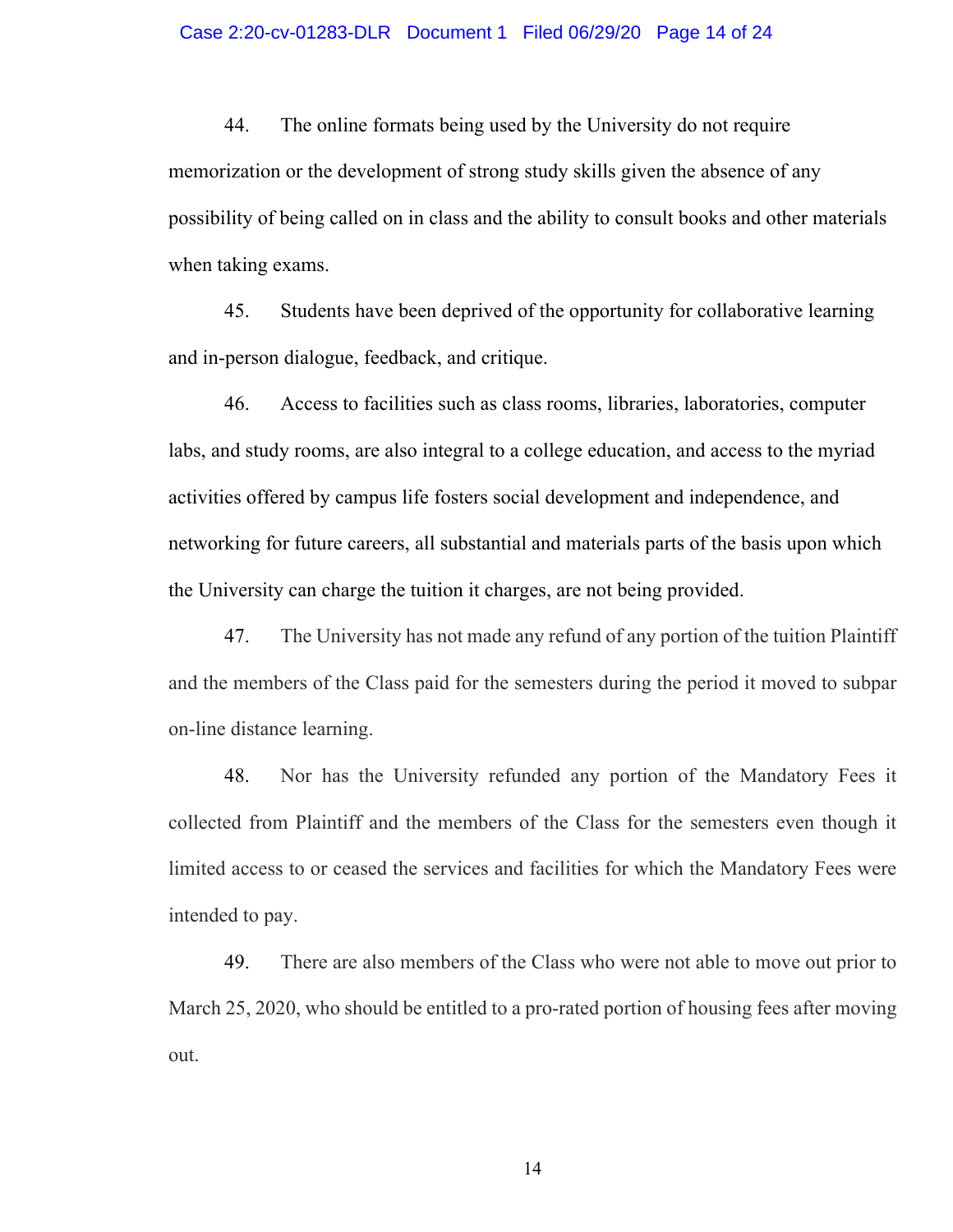44. The online formats being used by the University do not require memorization or the development of strong study skills given the absence of any possibility of being called on in class and the ability to consult books and other materials when taking exams.

45. Students have been deprived of the opportunity for collaborative learning and in-person dialogue, feedback, and critique.

46. Access to facilities such as class rooms, libraries, laboratories, computer labs, and study rooms, are also integral to a college education, and access to the myriad activities offered by campus life fosters social development and independence, and networking for future careers, all substantial and materials parts of the basis upon which the University can charge the tuition it charges, are not being provided.

47. The University has not made any refund of any portion of the tuition Plaintiff and the members of the Class paid for the semesters during the period it moved to subpar on-line distance learning.

48. Nor has the University refunded any portion of the Mandatory Fees it collected from Plaintiff and the members of the Class for the semesters even though it limited access to or ceased the services and facilities for which the Mandatory Fees were intended to pay.

49. There are also members of the Class who were not able to move out prior to March 25, 2020, who should be entitled to a pro-rated portion of housing fees after moving out.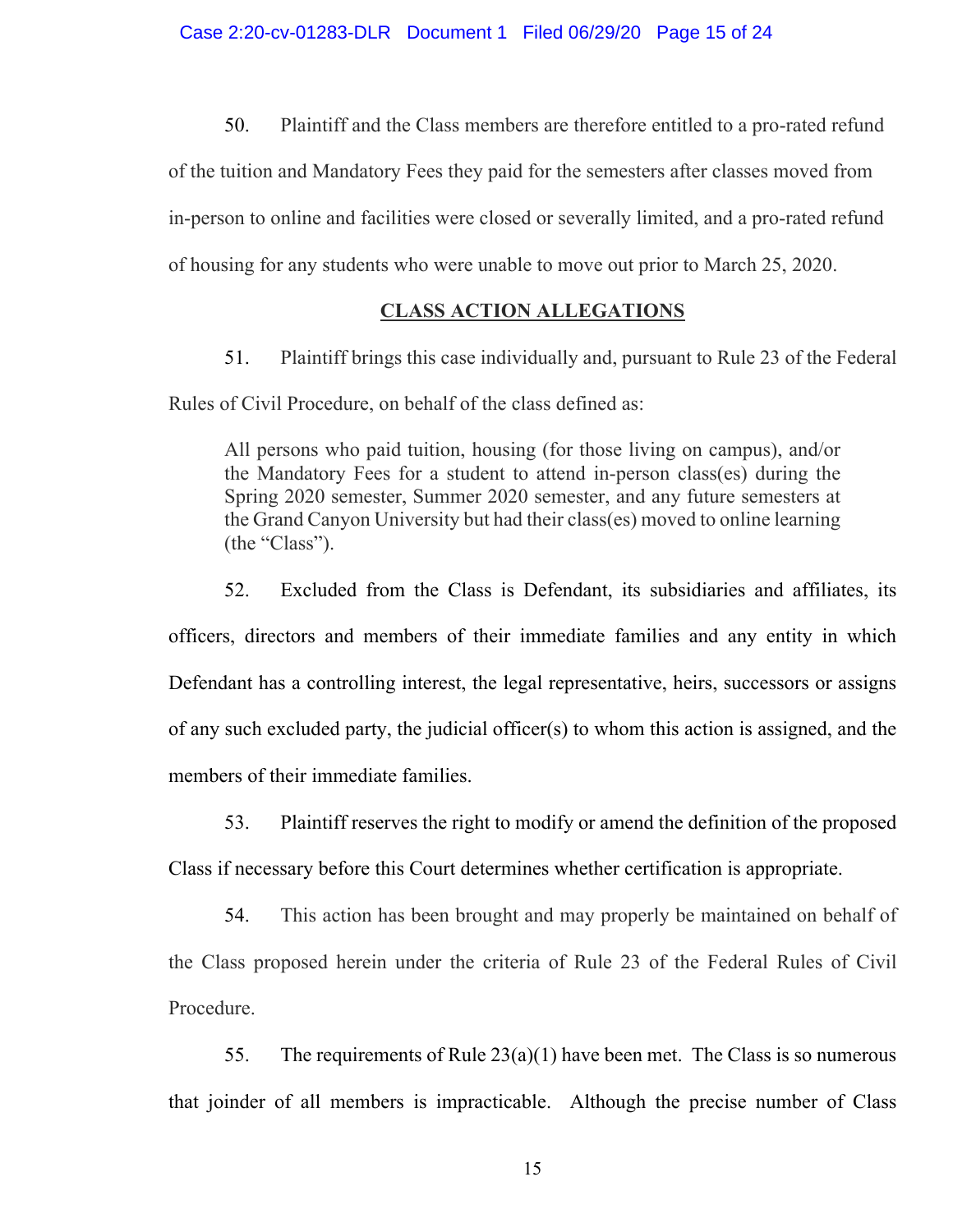50. Plaintiff and the Class members are therefore entitled to a pro-rated refund

of the tuition and Mandatory Fees they paid for the semesters after classes moved from in-person to online and facilities were closed or severally limited, and a pro-rated refund of housing for any students who were unable to move out prior to March 25, 2020.

# **CLASS ACTION ALLEGATIONS**

51. Plaintiff brings this case individually and, pursuant to Rule 23 of the Federal Rules of Civil Procedure, on behalf of the class defined as:

All persons who paid tuition, housing (for those living on campus), and/or the Mandatory Fees for a student to attend in-person class(es) during the Spring 2020 semester, Summer 2020 semester, and any future semesters at the Grand Canyon University but had their class(es) moved to online learning (the "Class").

52. Excluded from the Class is Defendant, its subsidiaries and affiliates, its officers, directors and members of their immediate families and any entity in which Defendant has a controlling interest, the legal representative, heirs, successors or assigns of any such excluded party, the judicial officer(s) to whom this action is assigned, and the members of their immediate families.

53. Plaintiff reserves the right to modify or amend the definition of the proposed

Class if necessary before this Court determines whether certification is appropriate.

54. This action has been brought and may properly be maintained on behalf of the Class proposed herein under the criteria of Rule 23 of the Federal Rules of Civil Procedure.

55. The requirements of Rule  $23(a)(1)$  have been met. The Class is so numerous that joinder of all members is impracticable. Although the precise number of Class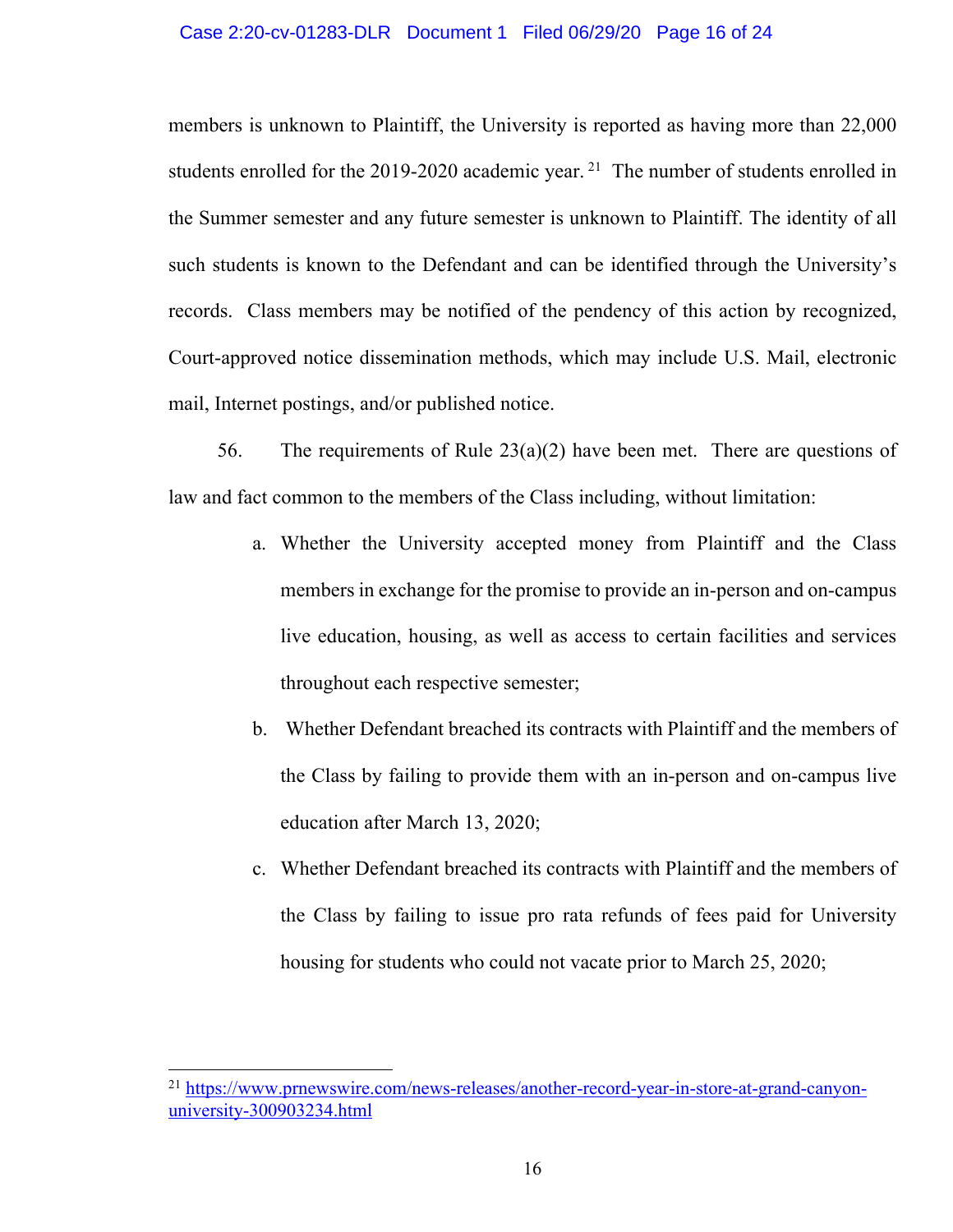#### Case 2:20-cv-01283-DLR Document 1 Filed 06/29/20 Page 16 of 24

members is unknown to Plaintiff, the University is reported as having more than 22,000 students enrolled for the 2019-2020 academic year.<sup>21</sup> The number of students enrolled in the Summer semester and any future semester is unknown to Plaintiff. The identity of all such students is known to the Defendant and can be identified through the University's records. Class members may be notified of the pendency of this action by recognized, Court-approved notice dissemination methods, which may include U.S. Mail, electronic mail, Internet postings, and/or published notice.

56. The requirements of Rule  $23(a)(2)$  have been met. There are questions of law and fact common to the members of the Class including, without limitation:

- a. Whether the University accepted money from Plaintiff and the Class members in exchange for the promise to provide an in-person and on-campus live education, housing, as well as access to certain facilities and services throughout each respective semester;
- b. Whether Defendant breached its contracts with Plaintiff and the members of the Class by failing to provide them with an in-person and on-campus live education after March 13, 2020;
- c. Whether Defendant breached its contracts with Plaintiff and the members of the Class by failing to issue pro rata refunds of fees paid for University housing for students who could not vacate prior to March 25, 2020;

<sup>&</sup>lt;sup>21</sup> https://www.prnewswire.com/news-releases/another-record-year-in-store-at-grand-canyonuniversity-300903234.html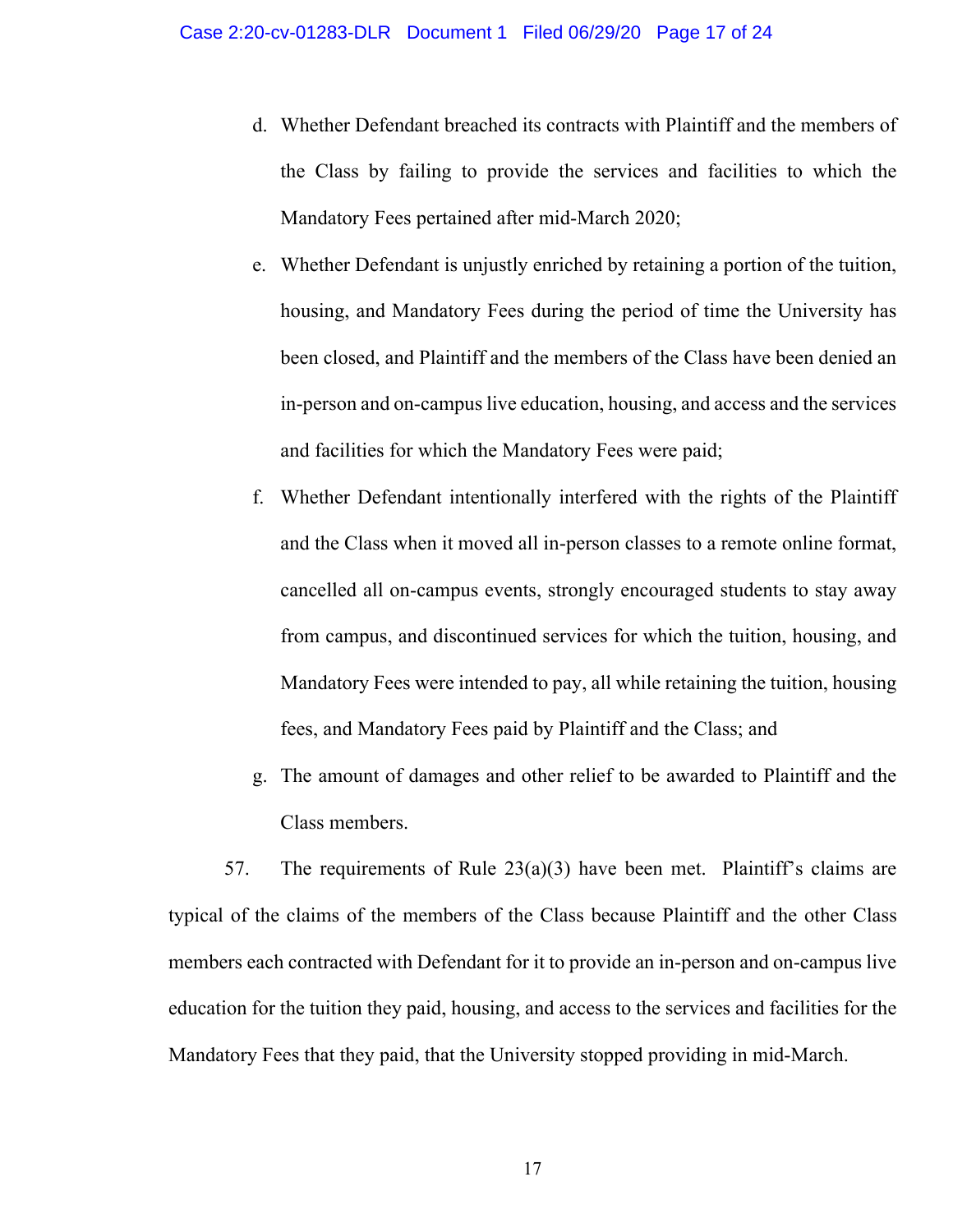- d. Whether Defendant breached its contracts with Plaintiff and the members of the Class by failing to provide the services and facilities to which the Mandatory Fees pertained after mid-March 2020;
- e. Whether Defendant is unjustly enriched by retaining a portion of the tuition, housing, and Mandatory Fees during the period of time the University has been closed, and Plaintiff and the members of the Class have been denied an in-person and on-campus live education, housing, and access and the services and facilities for which the Mandatory Fees were paid;
- f. Whether Defendant intentionally interfered with the rights of the Plaintiff and the Class when it moved all in-person classes to a remote online format, cancelled all on-campus events, strongly encouraged students to stay away from campus, and discontinued services for which the tuition, housing, and Mandatory Fees were intended to pay, all while retaining the tuition, housing fees, and Mandatory Fees paid by Plaintiff and the Class; and
- g. The amount of damages and other relief to be awarded to Plaintiff and the Class members.

57. The requirements of Rule  $23(a)(3)$  have been met. Plaintiff's claims are typical of the claims of the members of the Class because Plaintiff and the other Class members each contracted with Defendant for it to provide an in-person and on-campus live education for the tuition they paid, housing, and access to the services and facilities for the Mandatory Fees that they paid, that the University stopped providing in mid-March.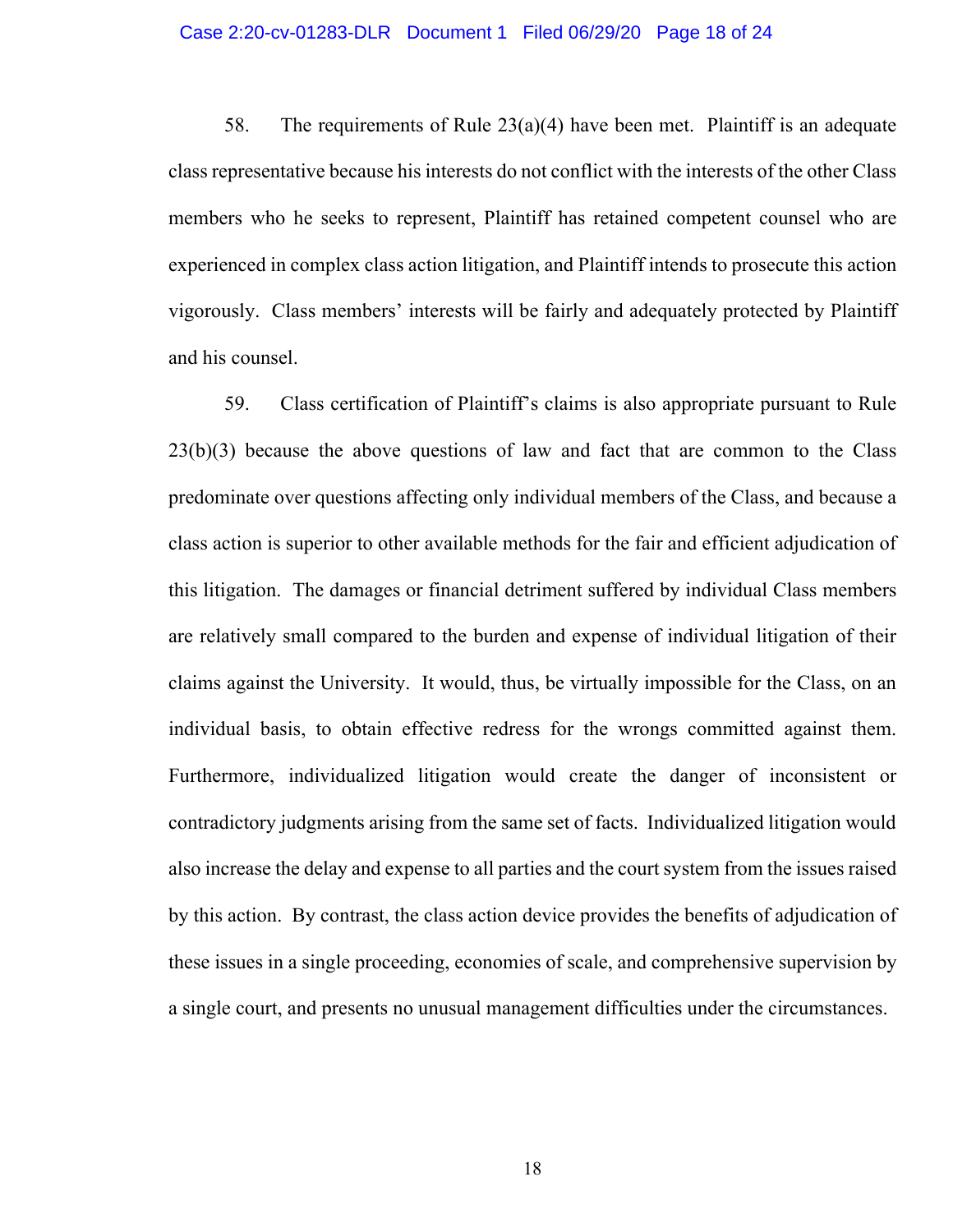#### Case 2:20-cv-01283-DLR Document 1 Filed 06/29/20 Page 18 of 24

58. The requirements of Rule  $23(a)(4)$  have been met. Plaintiff is an adequate class representative because his interests do not conflict with the interests of the other Class members who he seeks to represent, Plaintiff has retained competent counsel who are experienced in complex class action litigation, and Plaintiff intends to prosecute this action vigorously. Class members' interests will be fairly and adequately protected by Plaintiff and his counsel.

59. Class certification of Plaintiff's claims is also appropriate pursuant to Rule  $23(b)(3)$  because the above questions of law and fact that are common to the Class predominate over questions affecting only individual members of the Class, and because a class action is superior to other available methods for the fair and efficient adjudication of this litigation. The damages or financial detriment suffered by individual Class members are relatively small compared to the burden and expense of individual litigation of their claims against the University. It would, thus, be virtually impossible for the Class, on an individual basis, to obtain effective redress for the wrongs committed against them. Furthermore, individualized litigation would create the danger of inconsistent or contradictory judgments arising from the same set of facts. Individualized litigation would also increase the delay and expense to all parties and the court system from the issues raised by this action. By contrast, the class action device provides the benefits of adjudication of these issues in a single proceeding, economies of scale, and comprehensive supervision by a single court, and presents no unusual management difficulties under the circumstances.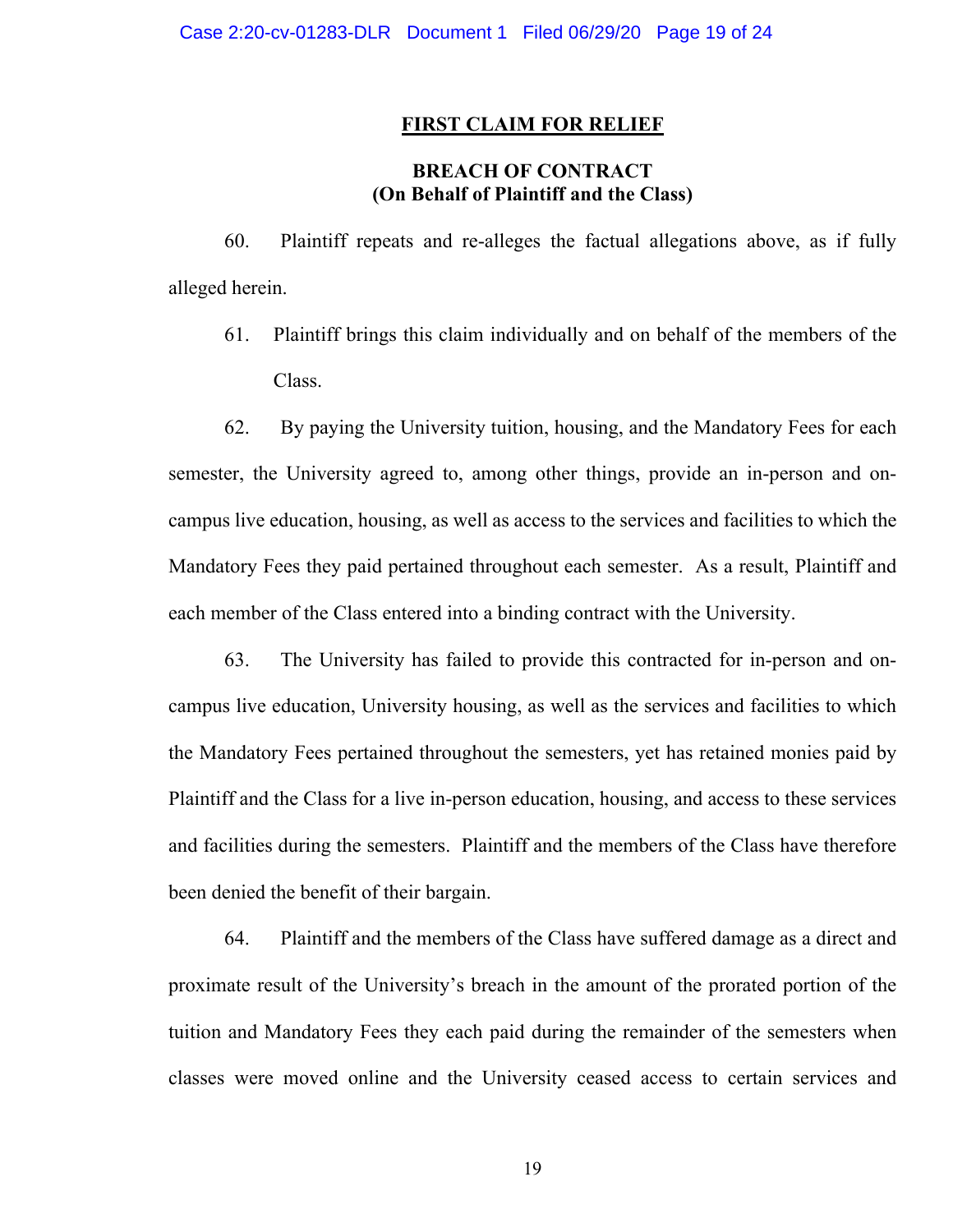#### **FIRST CLAIM FOR RELIEF**

# **BREACH OF CONTRACT (On Behalf of Plaintiff and the Class)**

60. Plaintiff repeats and re-alleges the factual allegations above, as if fully alleged herein.

61. Plaintiff brings this claim individually and on behalf of the members of the Class.

62. By paying the University tuition, housing, and the Mandatory Fees for each semester, the University agreed to, among other things, provide an in-person and oncampus live education, housing, as well as access to the services and facilities to which the Mandatory Fees they paid pertained throughout each semester. As a result, Plaintiff and each member of the Class entered into a binding contract with the University.

63. The University has failed to provide this contracted for in-person and oncampus live education, University housing, as well as the services and facilities to which the Mandatory Fees pertained throughout the semesters, yet has retained monies paid by Plaintiff and the Class for a live in-person education, housing, and access to these services and facilities during the semesters. Plaintiff and the members of the Class have therefore been denied the benefit of their bargain.

64. Plaintiff and the members of the Class have suffered damage as a direct and proximate result of the University's breach in the amount of the prorated portion of the tuition and Mandatory Fees they each paid during the remainder of the semesters when classes were moved online and the University ceased access to certain services and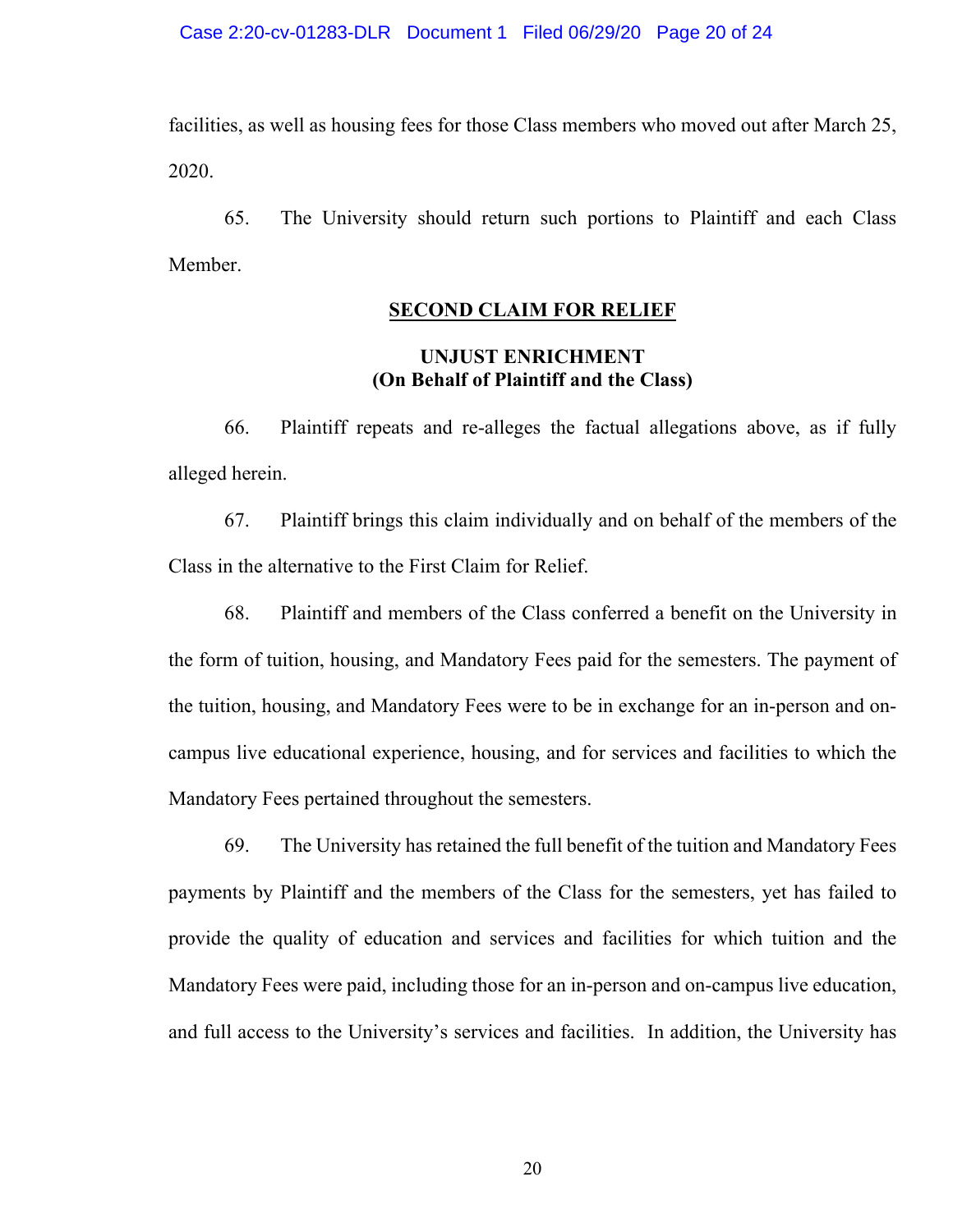facilities, as well as housing fees for those Class members who moved out after March 25, 2020.

65. The University should return such portions to Plaintiff and each Class Member.

# **SECOND CLAIM FOR RELIEF**

# **UNJUST ENRICHMENT (On Behalf of Plaintiff and the Class)**

66. Plaintiff repeats and re-alleges the factual allegations above, as if fully alleged herein.

67. Plaintiff brings this claim individually and on behalf of the members of the Class in the alternative to the First Claim for Relief.

68. Plaintiff and members of the Class conferred a benefit on the University in the form of tuition, housing, and Mandatory Fees paid for the semesters. The payment of the tuition, housing, and Mandatory Fees were to be in exchange for an in-person and oncampus live educational experience, housing, and for services and facilities to which the Mandatory Fees pertained throughout the semesters.

69. The University has retained the full benefit of the tuition and Mandatory Fees payments by Plaintiff and the members of the Class for the semesters, yet has failed to provide the quality of education and services and facilities for which tuition and the Mandatory Fees were paid, including those for an in-person and on-campus live education, and full access to the University's services and facilities. In addition, the University has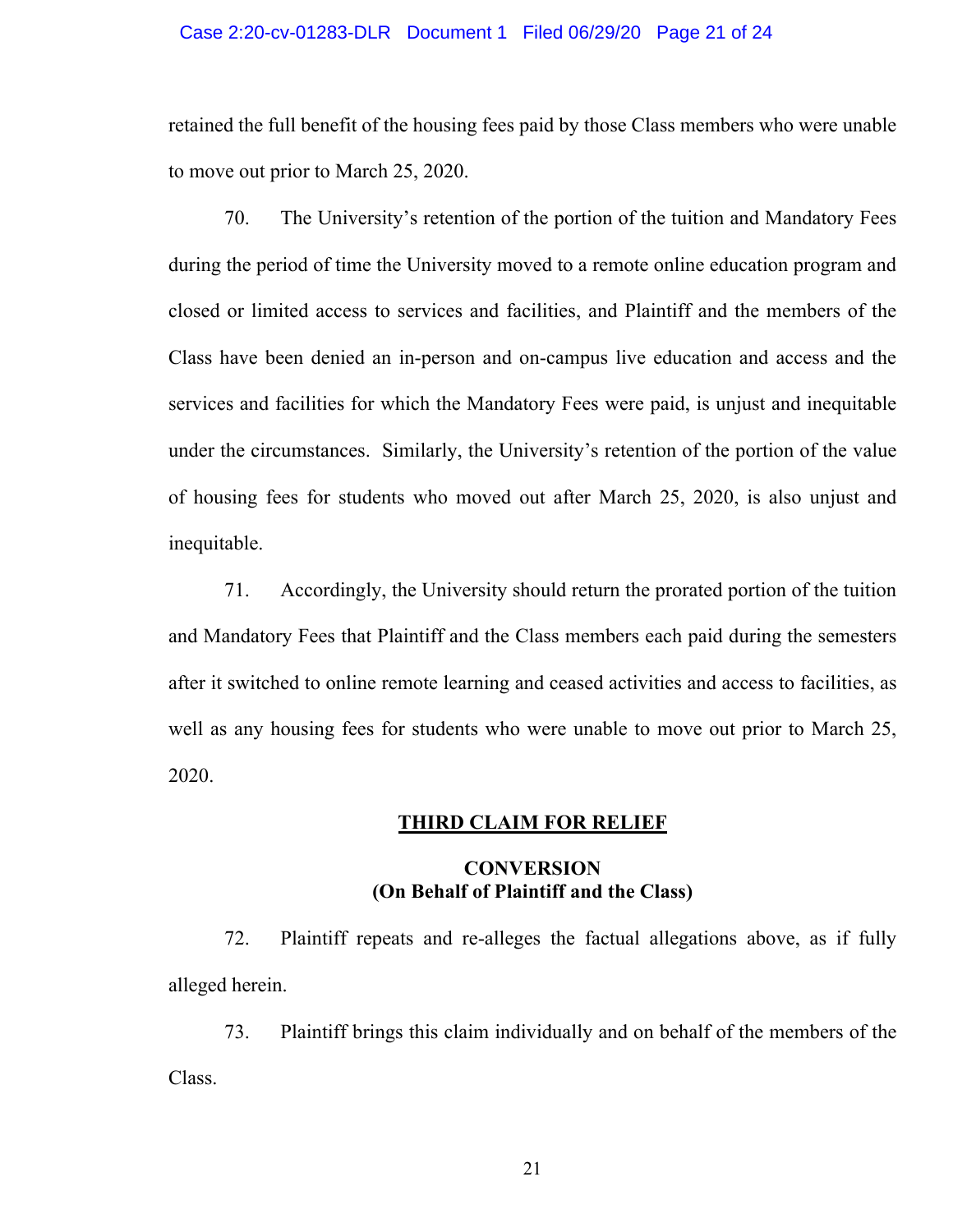#### Case 2:20-cv-01283-DLR Document 1 Filed 06/29/20 Page 21 of 24

retained the full benefit of the housing fees paid by those Class members who were unable to move out prior to March 25, 2020.

70. The University's retention of the portion of the tuition and Mandatory Fees during the period of time the University moved to a remote online education program and closed or limited access to services and facilities, and Plaintiff and the members of the Class have been denied an in-person and on-campus live education and access and the services and facilities for which the Mandatory Fees were paid, is unjust and inequitable under the circumstances. Similarly, the University's retention of the portion of the value of housing fees for students who moved out after March 25, 2020, is also unjust and inequitable.

71. Accordingly, the University should return the prorated portion of the tuition and Mandatory Fees that Plaintiff and the Class members each paid during the semesters after it switched to online remote learning and ceased activities and access to facilities, as well as any housing fees for students who were unable to move out prior to March 25, 2020.

#### **THIRD CLAIM FOR RELIEF**

# **CONVERSION (On Behalf of Plaintiff and the Class)**

72. Plaintiff repeats and re-alleges the factual allegations above, as if fully alleged herein.

73. Plaintiff brings this claim individually and on behalf of the members of the Class.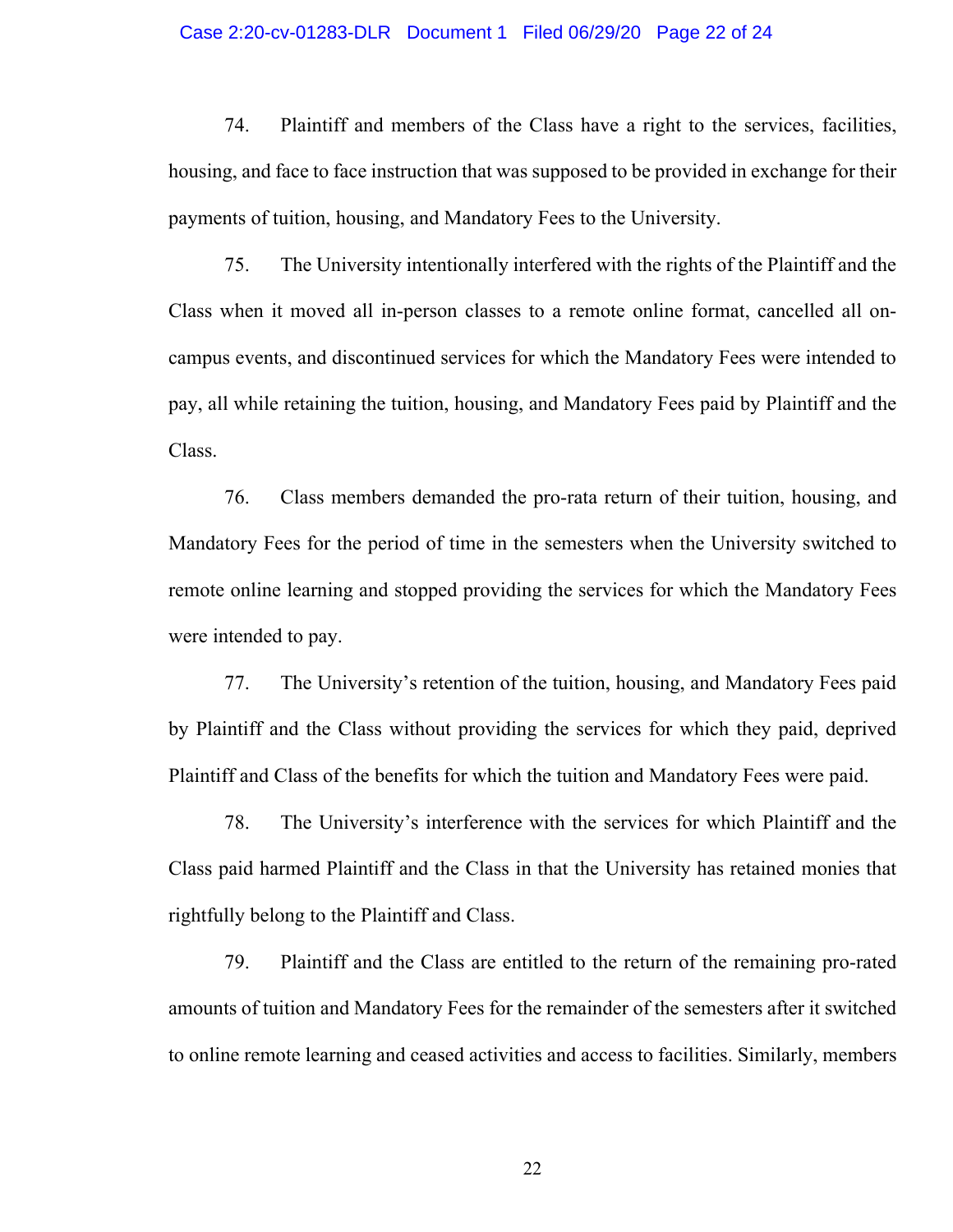#### Case 2:20-cv-01283-DLR Document 1 Filed 06/29/20 Page 22 of 24

74. Plaintiff and members of the Class have a right to the services, facilities, housing, and face to face instruction that was supposed to be provided in exchange for their payments of tuition, housing, and Mandatory Fees to the University.

75. The University intentionally interfered with the rights of the Plaintiff and the Class when it moved all in-person classes to a remote online format, cancelled all oncampus events, and discontinued services for which the Mandatory Fees were intended to pay, all while retaining the tuition, housing, and Mandatory Fees paid by Plaintiff and the Class.

76. Class members demanded the pro-rata return of their tuition, housing, and Mandatory Fees for the period of time in the semesters when the University switched to remote online learning and stopped providing the services for which the Mandatory Fees were intended to pay.

77. The University's retention of the tuition, housing, and Mandatory Fees paid by Plaintiff and the Class without providing the services for which they paid, deprived Plaintiff and Class of the benefits for which the tuition and Mandatory Fees were paid.

78. The University's interference with the services for which Plaintiff and the Class paid harmed Plaintiff and the Class in that the University has retained monies that rightfully belong to the Plaintiff and Class.

79. Plaintiff and the Class are entitled to the return of the remaining pro-rated amounts of tuition and Mandatory Fees for the remainder of the semesters after it switched to online remote learning and ceased activities and access to facilities. Similarly, members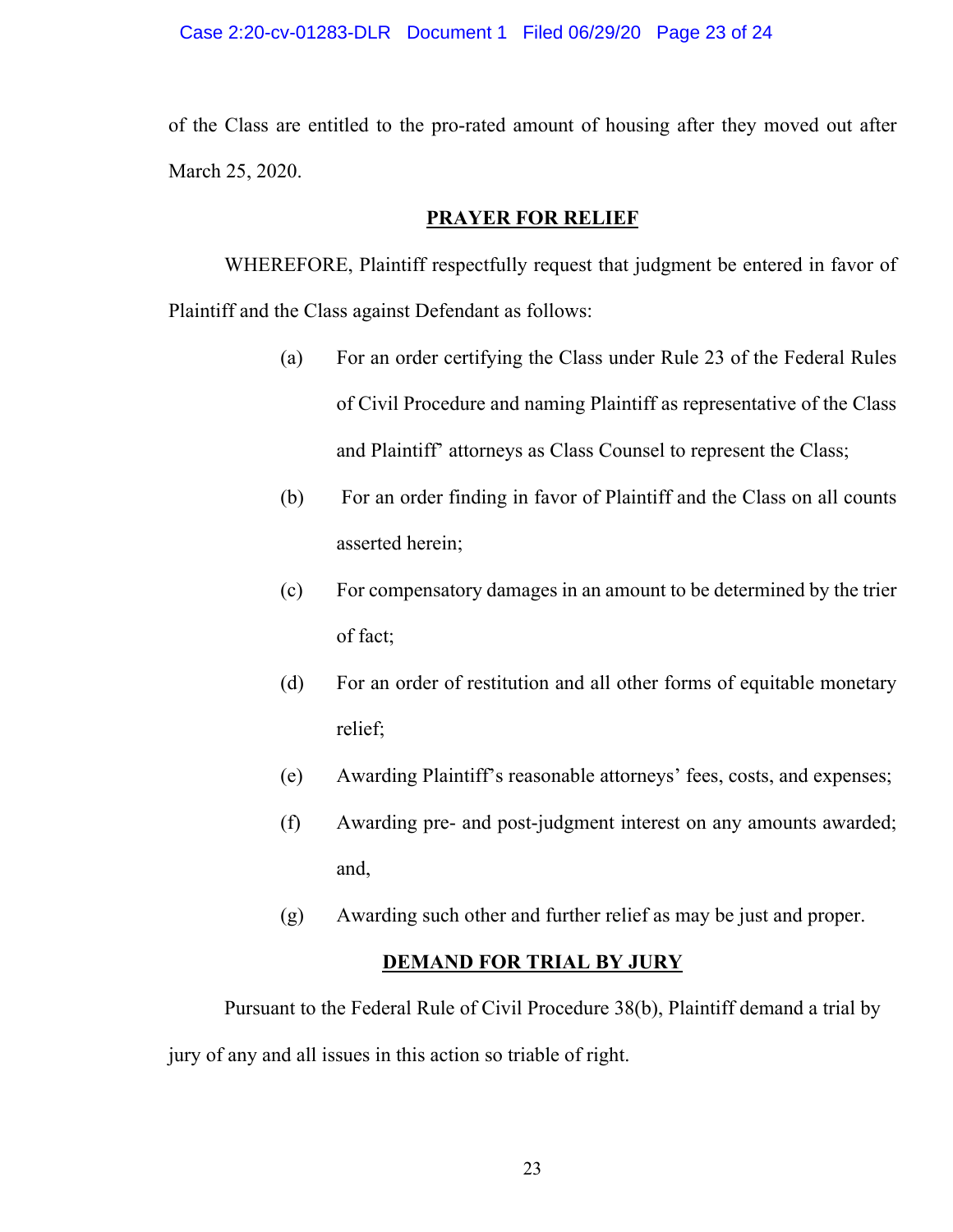#### Case 2:20-cv-01283-DLR Document 1 Filed 06/29/20 Page 23 of 24

of the Class are entitled to the pro-rated amount of housing after they moved out after March 25, 2020.

# **PRAYER FOR RELIEF**

WHEREFORE, Plaintiff respectfully request that judgment be entered in favor of Plaintiff and the Class against Defendant as follows:

- (a) For an order certifying the Class under Rule 23 of the Federal Rules of Civil Procedure and naming Plaintiff as representative of the Class and Plaintiff' attorneys as Class Counsel to represent the Class;
- (b) For an order finding in favor of Plaintiff and the Class on all counts asserted herein;
- (c) For compensatory damages in an amount to be determined by the trier of fact;
- (d) For an order of restitution and all other forms of equitable monetary relief;
- (e) Awarding Plaintiff's reasonable attorneys' fees, costs, and expenses;
- (f) Awarding pre- and post-judgment interest on any amounts awarded; and,
- (g) Awarding such other and further relief as may be just and proper.

#### **DEMAND FOR TRIAL BY JURY**

Pursuant to the Federal Rule of Civil Procedure 38(b), Plaintiff demand a trial by jury of any and all issues in this action so triable of right.